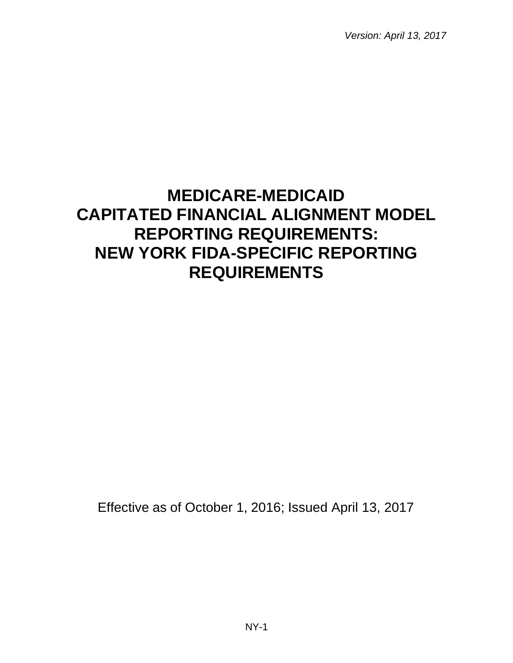*Version: April 13, 2017*

# **MEDICARE-MEDICAID CAPITATED FINANCIAL ALIGNMENT MODEL REPORTING REQUIREMENTS: NEW YORK FIDA-SPECIFIC REPORTING REQUIREMENTS**

Effective as of October 1, 2016; Issued April 13, 2017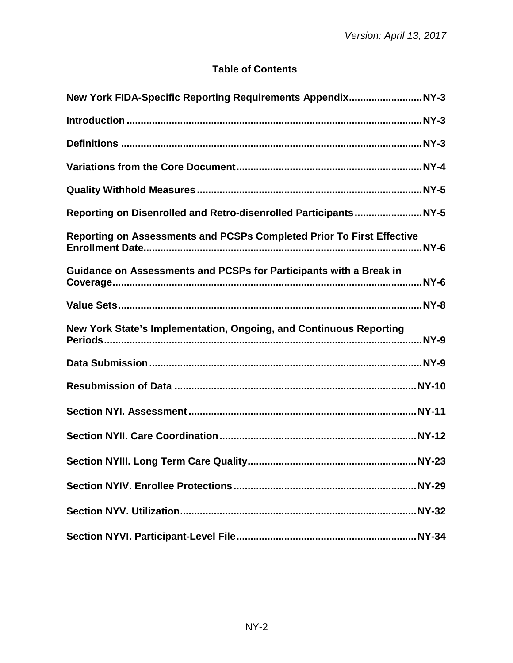# **Table of Contents**

| Reporting on Assessments and PCSPs Completed Prior To First Effective |  |
|-----------------------------------------------------------------------|--|
| Guidance on Assessments and PCSPs for Participants with a Break in    |  |
|                                                                       |  |
| New York State's Implementation, Ongoing, and Continuous Reporting    |  |
|                                                                       |  |
|                                                                       |  |
|                                                                       |  |
|                                                                       |  |
|                                                                       |  |
|                                                                       |  |
|                                                                       |  |
|                                                                       |  |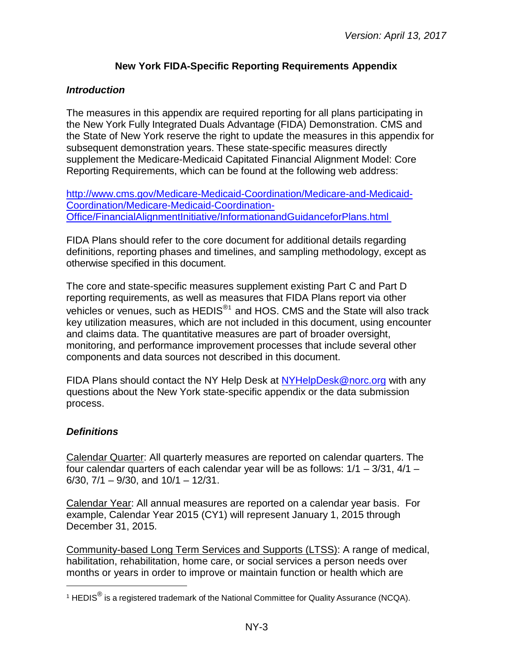### **New York FIDA-Specific Reporting Requirements Appendix**

#### <span id="page-2-1"></span><span id="page-2-0"></span>*Introduction*

The measures in this appendix are required reporting for all plans participating in the New York Fully Integrated Duals Advantage (FIDA) Demonstration. CMS and the State of New York reserve the right to update the measures in this appendix for subsequent demonstration years. These state-specific measures directly supplement the Medicare-Medicaid Capitated Financial Alignment Model: Core Reporting Requirements, which can be found at the following web address:

[http://www.cms.gov/Medicare-Medicaid-Coordination/Medicare-and-Medicaid-](http://www.cms.gov/Medicare-Medicaid-Coordination/Medicare-and-Medicaid-Coordination/Medicare-Medicaid-Coordination-Office/FinancialAlignmentInitiative/InformationandGuidanceforPlans.html)[Coordination/Medicare-Medicaid-Coordination-](http://www.cms.gov/Medicare-Medicaid-Coordination/Medicare-and-Medicaid-Coordination/Medicare-Medicaid-Coordination-Office/FinancialAlignmentInitiative/InformationandGuidanceforPlans.html)[Office/FinancialAlignmentInitiative/InformationandGuidanceforPlans.html](http://www.cms.gov/Medicare-Medicaid-Coordination/Medicare-and-Medicaid-Coordination/Medicare-Medicaid-Coordination-Office/FinancialAlignmentInitiative/InformationandGuidanceforPlans.html)

FIDA Plans should refer to the core document for additional details regarding definitions, reporting phases and timelines, and sampling methodology, except as otherwise specified in this document.

The core and state-specific measures supplement existing Part C and Part D reporting requirements, as well as measures that FIDA Plans report via other vehicles or venues, such as HEDIS<sup>[®1](#page-2-3)</sup> and HOS. CMS and the State will also track key utilization measures, which are not included in this document, using encounter and claims data. The quantitative measures are part of broader oversight, monitoring, and performance improvement processes that include several other components and data sources not described in this document.

FIDA Plans should contact the NY Help Desk at [NYHelpDesk@norc.org](mailto:NYHelpDesk@norc.org) with any questions about the New York state-specific appendix or the data submission process.

#### <span id="page-2-2"></span>*Definitions*

l

Calendar Quarter: All quarterly measures are reported on calendar quarters. The four calendar quarters of each calendar year will be as follows:  $1/1 - 3/31$ ,  $4/1 -$ 6/30,  $7/1 - 9/30$ , and  $10/1 - 12/31$ .

Calendar Year: All annual measures are reported on a calendar year basis. For example, Calendar Year 2015 (CY1) will represent January 1, 2015 through December 31, 2015.

Community-based Long Term Services and Supports (LTSS): A range of medical, habilitation, rehabilitation, home care, or social services a person needs over months or years in order to improve or maintain function or health which are

<span id="page-2-3"></span><sup>&</sup>lt;sup>1</sup> HEDIS<sup>®</sup> is a registered trademark of the National Committee for Quality Assurance (NCQA).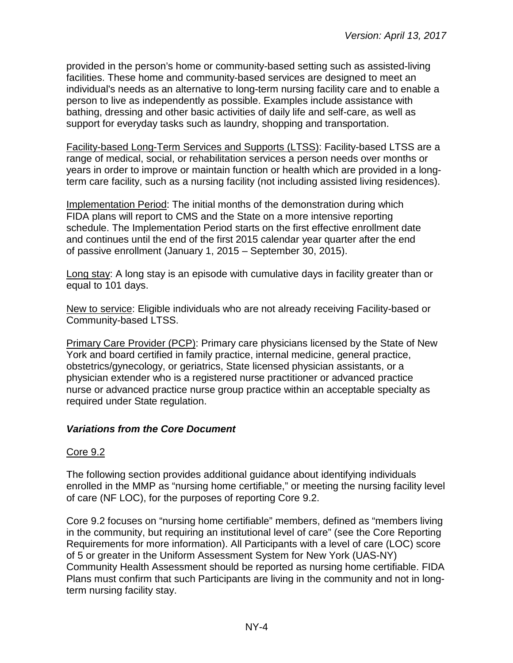provided in the person's home or community-based setting such as assisted-living facilities. These home and community-based services are designed to meet an individual's needs as an alternative to long-term nursing facility care and to enable a person to live as independently as possible. Examples include assistance with bathing, dressing and other basic activities of daily life and self-care, as well as support for everyday tasks such as laundry, shopping and transportation.

Facility-based Long-Term Services and Supports (LTSS): Facility-based LTSS are a range of medical, social, or rehabilitation services a person needs over months or years in order to improve or maintain function or health which are provided in a longterm care facility, such as a nursing facility (not including assisted living residences).

Implementation Period: The initial months of the demonstration during which FIDA plans will report to CMS and the State on a more intensive reporting schedule. The Implementation Period starts on the first effective enrollment date and continues until the end of the first 2015 calendar year quarter after the end of passive enrollment (January 1, 2015 – September 30, 2015).

Long stay: A long stay is an episode with cumulative days in facility greater than or equal to 101 days.

New to service: Eligible individuals who are not already receiving Facility-based or Community-based LTSS.

Primary Care Provider (PCP): Primary care physicians licensed by the State of New York and board certified in family practice, internal medicine, general practice, obstetrics/gynecology, or geriatrics, State licensed physician assistants, or a physician extender who is a registered nurse practitioner or advanced practice nurse or advanced practice nurse group practice within an acceptable specialty as required under State regulation.

#### <span id="page-3-0"></span>*Variations from the Core Document*

#### Core 9.2

The following section provides additional guidance about identifying individuals enrolled in the MMP as "nursing home certifiable," or meeting the nursing facility level of care (NF LOC), for the purposes of reporting Core 9.2.

Core 9.2 focuses on "nursing home certifiable" members, defined as "members living in the community, but requiring an institutional level of care" (see the Core Reporting Requirements for more information). All Participants with a level of care (LOC) score of 5 or greater in the Uniform Assessment System for New York (UAS-NY) Community Health Assessment should be reported as nursing home certifiable. FIDA Plans must confirm that such Participants are living in the community and not in longterm nursing facility stay.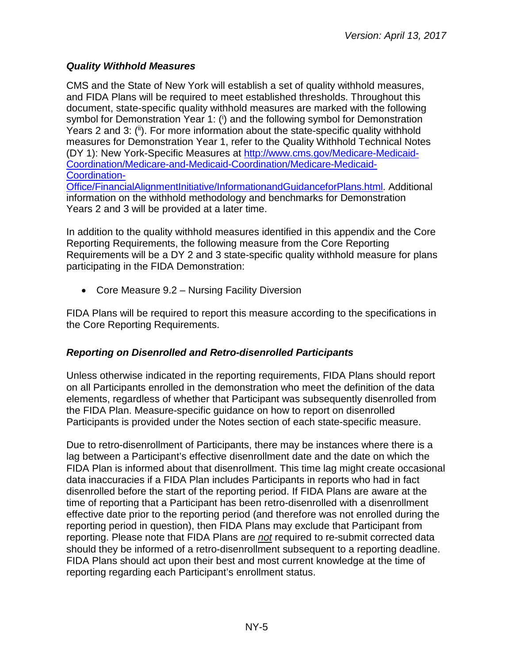## <span id="page-4-0"></span>*Quality Withhold Measures*

CMS and the State of New York will establish a set of quality withhold measures, and FIDA Plans will be required to meet established thresholds. Throughout this document, state-specific quality withhold measures are marked with the following symbol for Demonstration Year 1: (i) and the following symbol for Demonstration Years 2 and 3: (ii). For more information about the state-specific quality withhold measures for Demonstration Year 1, refer to the Quality Withhold Technical Notes (DY 1): New York-Specific Measures at [http://www.cms.gov/Medicare-Medicaid-](http://www.cms.gov/Medicare-Medicaid-Coordination/Medicare-and-Medicaid-Coordination/Medicare-Medicaid-Coordination-Office/FinancialAlignmentInitiative/InformationandGuidanceforPlans.html)[Coordination/Medicare-and-Medicaid-Coordination/Medicare-Medicaid-](http://www.cms.gov/Medicare-Medicaid-Coordination/Medicare-and-Medicaid-Coordination/Medicare-Medicaid-Coordination-Office/FinancialAlignmentInitiative/InformationandGuidanceforPlans.html)[Coordination-](http://www.cms.gov/Medicare-Medicaid-Coordination/Medicare-and-Medicaid-Coordination/Medicare-Medicaid-Coordination-Office/FinancialAlignmentInitiative/InformationandGuidanceforPlans.html)

[Office/FinancialAlignmentInitiative/InformationandGuidanceforPlans.html.](http://www.cms.gov/Medicare-Medicaid-Coordination/Medicare-and-Medicaid-Coordination/Medicare-Medicaid-Coordination-Office/FinancialAlignmentInitiative/InformationandGuidanceforPlans.html) Additional information on the withhold methodology and benchmarks for Demonstration Years 2 and 3 will be provided at a later time.

In addition to the quality withhold measures identified in this appendix and the Core Reporting Requirements, the following measure from the Core Reporting Requirements will be a DY 2 and 3 state-specific quality withhold measure for plans participating in the FIDA Demonstration:

• Core Measure 9.2 – Nursing Facility Diversion

FIDA Plans will be required to report this measure according to the specifications in the Core Reporting Requirements.

#### <span id="page-4-1"></span>*Reporting on Disenrolled and Retro-disenrolled Participants*

Unless otherwise indicated in the reporting requirements, FIDA Plans should report on all Participants enrolled in the demonstration who meet the definition of the data elements, regardless of whether that Participant was subsequently disenrolled from the FIDA Plan. Measure-specific guidance on how to report on disenrolled Participants is provided under the Notes section of each state-specific measure.

Due to retro-disenrollment of Participants, there may be instances where there is a lag between a Participant's effective disenrollment date and the date on which the FIDA Plan is informed about that disenrollment. This time lag might create occasional data inaccuracies if a FIDA Plan includes Participants in reports who had in fact disenrolled before the start of the reporting period. If FIDA Plans are aware at the time of reporting that a Participant has been retro-disenrolled with a disenrollment effective date prior to the reporting period (and therefore was not enrolled during the reporting period in question), then FIDA Plans may exclude that Participant from reporting. Please note that FIDA Plans are *not* required to re-submit corrected data should they be informed of a retro-disenrollment subsequent to a reporting deadline. FIDA Plans should act upon their best and most current knowledge at the time of reporting regarding each Participant's enrollment status.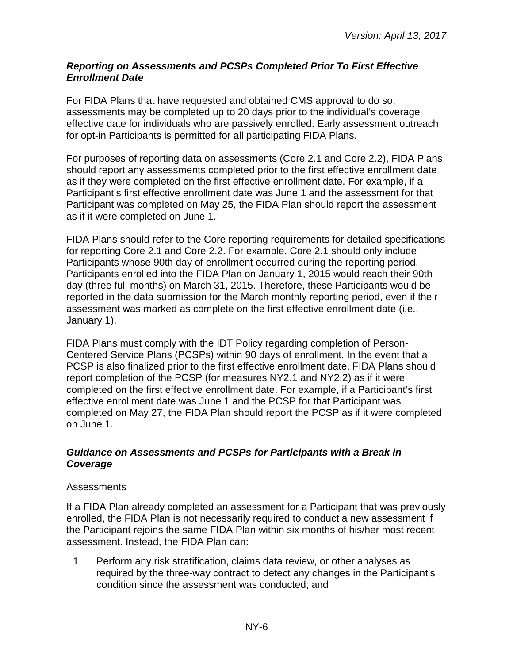#### <span id="page-5-0"></span>*Reporting on Assessments and PCSPs Completed Prior To First Effective Enrollment Date*

For FIDA Plans that have requested and obtained CMS approval to do so, assessments may be completed up to 20 days prior to the individual's coverage effective date for individuals who are passively enrolled. Early assessment outreach for opt-in Participants is permitted for all participating FIDA Plans.

For purposes of reporting data on assessments (Core 2.1 and Core 2.2), FIDA Plans should report any assessments completed prior to the first effective enrollment date as if they were completed on the first effective enrollment date. For example, if a Participant's first effective enrollment date was June 1 and the assessment for that Participant was completed on May 25, the FIDA Plan should report the assessment as if it were completed on June 1.

FIDA Plans should refer to the Core reporting requirements for detailed specifications for reporting Core 2.1 and Core 2.2. For example, Core 2.1 should only include Participants whose 90th day of enrollment occurred during the reporting period. Participants enrolled into the FIDA Plan on January 1, 2015 would reach their 90th day (three full months) on March 31, 2015. Therefore, these Participants would be reported in the data submission for the March monthly reporting period, even if their assessment was marked as complete on the first effective enrollment date (i.e., January 1).

FIDA Plans must comply with the IDT Policy regarding completion of Person-Centered Service Plans (PCSPs) within 90 days of enrollment. In the event that a PCSP is also finalized prior to the first effective enrollment date, FIDA Plans should report completion of the PCSP (for measures NY2.1 and NY2.2) as if it were completed on the first effective enrollment date. For example, if a Participant's first effective enrollment date was June 1 and the PCSP for that Participant was completed on May 27, the FIDA Plan should report the PCSP as if it were completed on June 1.

#### <span id="page-5-1"></span>*Guidance on Assessments and PCSPs for Participants with a Break in Coverage*

#### Assessments

If a FIDA Plan already completed an assessment for a Participant that was previously enrolled, the FIDA Plan is not necessarily required to conduct a new assessment if the Participant rejoins the same FIDA Plan within six months of his/her most recent assessment. Instead, the FIDA Plan can:

1. Perform any risk stratification, claims data review, or other analyses as required by the three-way contract to detect any changes in the Participant's condition since the assessment was conducted; and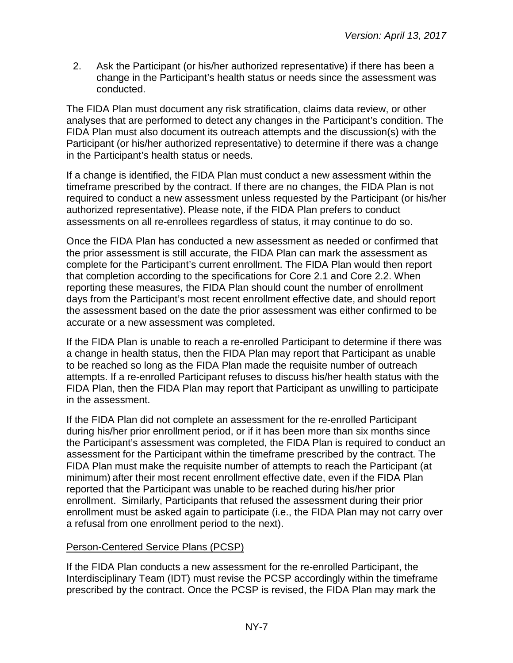2. Ask the Participant (or his/her authorized representative) if there has been a change in the Participant's health status or needs since the assessment was conducted.

The FIDA Plan must document any risk stratification, claims data review, or other analyses that are performed to detect any changes in the Participant's condition. The FIDA Plan must also document its outreach attempts and the discussion(s) with the Participant (or his/her authorized representative) to determine if there was a change in the Participant's health status or needs.

If a change is identified, the FIDA Plan must conduct a new assessment within the timeframe prescribed by the contract. If there are no changes, the FIDA Plan is not required to conduct a new assessment unless requested by the Participant (or his/her authorized representative). Please note, if the FIDA Plan prefers to conduct assessments on all re-enrollees regardless of status, it may continue to do so.

Once the FIDA Plan has conducted a new assessment as needed or confirmed that the prior assessment is still accurate, the FIDA Plan can mark the assessment as complete for the Participant's current enrollment. The FIDA Plan would then report that completion according to the specifications for Core 2.1 and Core 2.2. When reporting these measures, the FIDA Plan should count the number of enrollment days from the Participant's most recent enrollment effective date, and should report the assessment based on the date the prior assessment was either confirmed to be accurate or a new assessment was completed.

If the FIDA Plan is unable to reach a re-enrolled Participant to determine if there was a change in health status, then the FIDA Plan may report that Participant as unable to be reached so long as the FIDA Plan made the requisite number of outreach attempts. If a re-enrolled Participant refuses to discuss his/her health status with the FIDA Plan, then the FIDA Plan may report that Participant as unwilling to participate in the assessment.

If the FIDA Plan did not complete an assessment for the re-enrolled Participant during his/her prior enrollment period, or if it has been more than six months since the Participant's assessment was completed, the FIDA Plan is required to conduct an assessment for the Participant within the timeframe prescribed by the contract. The FIDA Plan must make the requisite number of attempts to reach the Participant (at minimum) after their most recent enrollment effective date, even if the FIDA Plan reported that the Participant was unable to be reached during his/her prior enrollment. Similarly, Participants that refused the assessment during their prior enrollment must be asked again to participate (i.e., the FIDA Plan may not carry over a refusal from one enrollment period to the next).

#### Person-Centered Service Plans (PCSP)

If the FIDA Plan conducts a new assessment for the re-enrolled Participant, the Interdisciplinary Team (IDT) must revise the PCSP accordingly within the timeframe prescribed by the contract. Once the PCSP is revised, the FIDA Plan may mark the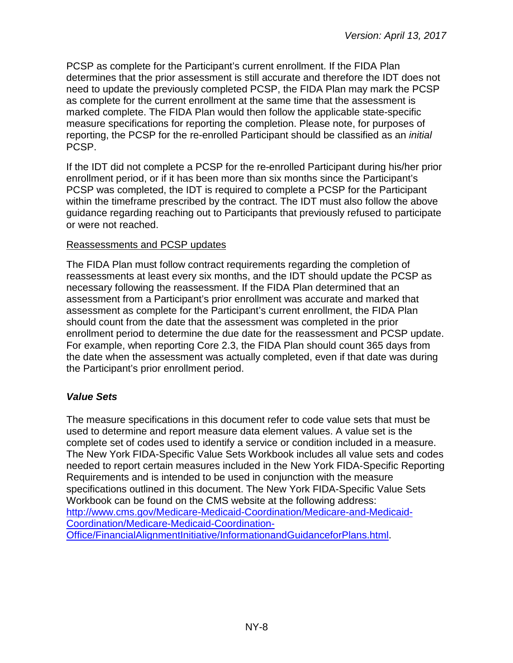PCSP as complete for the Participant's current enrollment. If the FIDA Plan determines that the prior assessment is still accurate and therefore the IDT does not need to update the previously completed PCSP, the FIDA Plan may mark the PCSP as complete for the current enrollment at the same time that the assessment is marked complete. The FIDA Plan would then follow the applicable state-specific measure specifications for reporting the completion. Please note, for purposes of reporting, the PCSP for the re-enrolled Participant should be classified as an *initial* PCSP.

If the IDT did not complete a PCSP for the re-enrolled Participant during his/her prior enrollment period, or if it has been more than six months since the Participant's PCSP was completed, the IDT is required to complete a PCSP for the Participant within the timeframe prescribed by the contract. The IDT must also follow the above guidance regarding reaching out to Participants that previously refused to participate or were not reached.

#### Reassessments and PCSP updates

The FIDA Plan must follow contract requirements regarding the completion of reassessments at least every six months, and the IDT should update the PCSP as necessary following the reassessment. If the FIDA Plan determined that an assessment from a Participant's prior enrollment was accurate and marked that assessment as complete for the Participant's current enrollment, the FIDA Plan should count from the date that the assessment was completed in the prior enrollment period to determine the due date for the reassessment and PCSP update. For example, when reporting Core 2.3, the FIDA Plan should count 365 days from the date when the assessment was actually completed, even if that date was during the Participant's prior enrollment period.

#### <span id="page-7-0"></span>*Value Sets*

The measure specifications in this document refer to code value sets that must be used to determine and report measure data element values. A value set is the complete set of codes used to identify a service or condition included in a measure. The New York FIDA-Specific Value Sets Workbook includes all value sets and codes needed to report certain measures included in the New York FIDA-Specific Reporting Requirements and is intended to be used in conjunction with the measure specifications outlined in this document. The New York FIDA-Specific Value Sets Workbook can be found on the CMS website at the following address: [http://www.cms.gov/Medicare-Medicaid-Coordination/Medicare-and-Medicaid-](http://www.cms.gov/Medicare-Medicaid-Coordination/Medicare-and-Medicaid-Coordination/Medicare-Medicaid-Coordination-Office/FinancialAlignmentInitiative/InformationandGuidanceforPlans.html)[Coordination/Medicare-Medicaid-Coordination-](http://www.cms.gov/Medicare-Medicaid-Coordination/Medicare-and-Medicaid-Coordination/Medicare-Medicaid-Coordination-Office/FinancialAlignmentInitiative/InformationandGuidanceforPlans.html)[Office/FinancialAlignmentInitiative/InformationandGuidanceforPlans.html.](http://www.cms.gov/Medicare-Medicaid-Coordination/Medicare-and-Medicaid-Coordination/Medicare-Medicaid-Coordination-Office/FinancialAlignmentInitiative/InformationandGuidanceforPlans.html)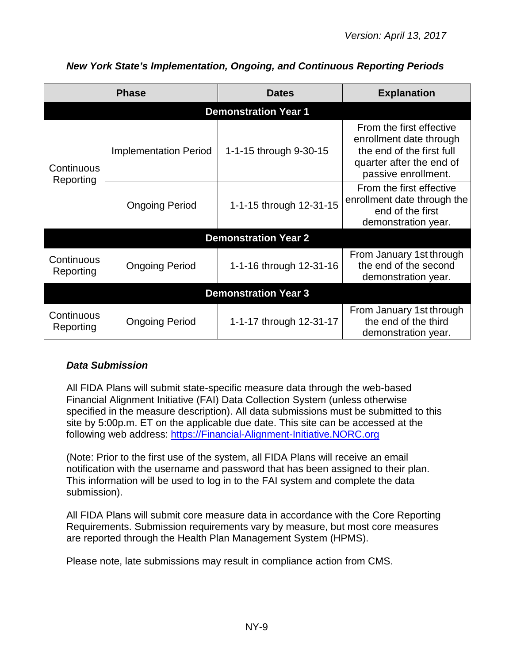| <b>Phase</b>                |                              | <b>Dates</b>                | <b>Explanation</b>                                                                                                                  |  |
|-----------------------------|------------------------------|-----------------------------|-------------------------------------------------------------------------------------------------------------------------------------|--|
|                             |                              | <b>Demonstration Year 1</b> |                                                                                                                                     |  |
| Continuous<br>Reporting     | <b>Implementation Period</b> | 1-1-15 through 9-30-15      | From the first effective<br>enrollment date through<br>the end of the first full<br>quarter after the end of<br>passive enrollment. |  |
|                             | <b>Ongoing Period</b>        | 1-1-15 through 12-31-15     | From the first effective<br>enrollment date through the<br>end of the first<br>demonstration year.                                  |  |
|                             |                              | <b>Demonstration Year 2</b> |                                                                                                                                     |  |
| Continuous<br>Reporting     | <b>Ongoing Period</b>        | 1-1-16 through 12-31-16     | From January 1st through<br>the end of the second<br>demonstration year.                                                            |  |
| <b>Demonstration Year 3</b> |                              |                             |                                                                                                                                     |  |
| Continuous<br>Reporting     | <b>Ongoing Period</b>        | 1-1-17 through 12-31-17     | From January 1st through<br>the end of the third<br>demonstration year.                                                             |  |

# <span id="page-8-0"></span>*New York State's Implementation, Ongoing, and Continuous Reporting Periods*

# <span id="page-8-1"></span>*Data Submission*

All FIDA Plans will submit state-specific measure data through the web-based Financial Alignment Initiative (FAI) Data Collection System (unless otherwise specified in the measure description). All data submissions must be submitted to this site by 5:00p.m. ET on the applicable due date. This site can be accessed at the following web address: [https://Financial-Alignment-Initiative.NORC.org](https://financial-alignment-initiative.norc.org/)

(Note: Prior to the first use of the system, all FIDA Plans will receive an email notification with the username and password that has been assigned to their plan. This information will be used to log in to the FAI system and complete the data submission).

All FIDA Plans will submit core measure data in accordance with the Core Reporting Requirements. Submission requirements vary by measure, but most core measures are reported through the Health Plan Management System (HPMS).

Please note, late submissions may result in compliance action from CMS.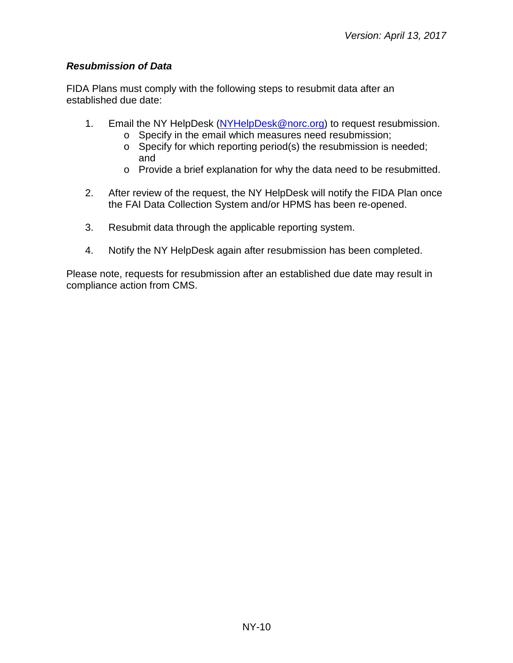### <span id="page-9-0"></span>*Resubmission of Data*

FIDA Plans must comply with the following steps to resubmit data after an established due date:

- 1. Email the NY HelpDesk [\(NYHelpDesk@norc.org\)](mailto:NYHelpDesk@norc.org) to request resubmission.
	- o Specify in the email which measures need resubmission;
	- o Specify for which reporting period(s) the resubmission is needed; and
	- o Provide a brief explanation for why the data need to be resubmitted.
- 2. After review of the request, the NY HelpDesk will notify the FIDA Plan once the FAI Data Collection System and/or HPMS has been re-opened.
- 3. Resubmit data through the applicable reporting system.
- 4. Notify the NY HelpDesk again after resubmission has been completed.

Please note, requests for resubmission after an established due date may result in compliance action from CMS.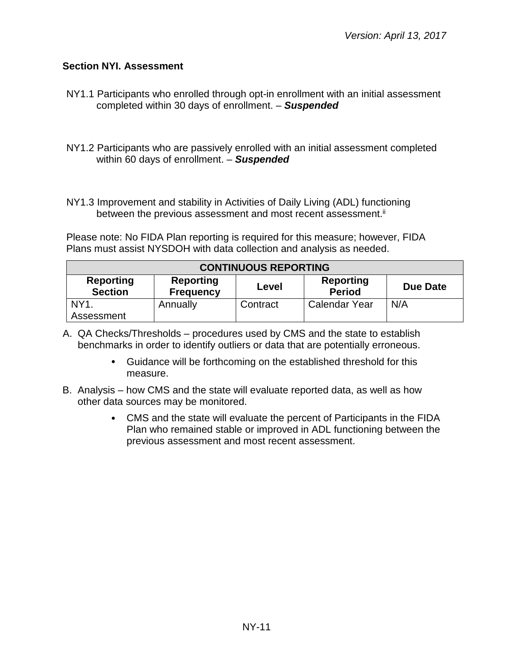#### <span id="page-10-0"></span>**Section NYI. Assessment**

- NY1.1 Participants who enrolled through opt-in enrollment with an initial assessment completed within 30 days of enrollment. – *Suspended*
- NY1.2 Participants who are passively enrolled with an initial assessment completed within 60 days of enrollment. – *Suspended*
- NY1.3 Improvement and stability in Activities of Daily Living (ADL) functioning between the previous assessment and most recent assessment. $^{\text{\tiny{\textsf{i}}}}$

Please note: No FIDA Plan reporting is required for this measure; however, FIDA Plans must assist NYSDOH with data collection and analysis as needed.

| <b>CONTINUOUS REPORTING</b>                                                                                                   |          |          |                      |     |  |  |
|-------------------------------------------------------------------------------------------------------------------------------|----------|----------|----------------------|-----|--|--|
| <b>Reporting</b><br>Reporting<br>Reporting<br><b>Due Date</b><br>Level<br><b>Section</b><br><b>Period</b><br><b>Frequency</b> |          |          |                      |     |  |  |
| NY <sub>1</sub><br>Assessment                                                                                                 | Annually | Contract | <b>Calendar Year</b> | N/A |  |  |

- A. QA Checks/Thresholds procedures used by CMS and the state to establish benchmarks in order to identify outliers or data that are potentially erroneous.
	- Guidance will be forthcoming on the established threshold for this measure.
- B. Analysis how CMS and the state will evaluate reported data, as well as how other data sources may be monitored.
	- CMS and the state will evaluate the percent of Participants in the FIDA Plan who remained stable or improved in ADL functioning between the previous assessment and most recent assessment.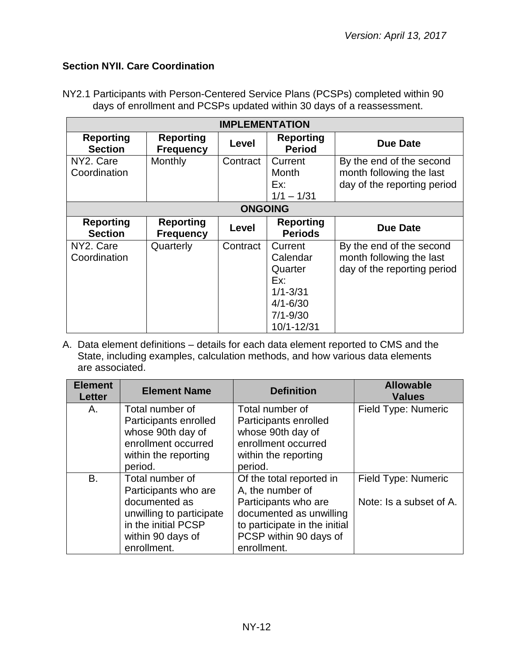## <span id="page-11-0"></span>**Section NYII. Care Coordination**

NY2.1 Participants with Person-Centered Service Plans (PCSPs) completed within 90 days of enrollment and PCSPs updated within 30 days of a reassessment.

| <b>IMPLEMENTATION</b>              |                                      |                |                                                                                                     |                                                                                     |
|------------------------------------|--------------------------------------|----------------|-----------------------------------------------------------------------------------------------------|-------------------------------------------------------------------------------------|
| <b>Reporting</b><br><b>Section</b> | <b>Reporting</b><br><b>Frequency</b> | Level          | Reporting<br><b>Period</b>                                                                          | <b>Due Date</b>                                                                     |
| NY2. Care<br>Coordination          | Monthly                              | Contract       | Current<br>Month<br>Ex:<br>$1/1 - 1/31$                                                             | By the end of the second<br>month following the last<br>day of the reporting period |
|                                    |                                      | <b>ONGOING</b> |                                                                                                     |                                                                                     |
| <b>Reporting</b><br><b>Section</b> | <b>Reporting</b><br><b>Frequency</b> | Level          | <b>Reporting</b><br><b>Periods</b>                                                                  | <b>Due Date</b>                                                                     |
| NY2. Care<br>Coordination          | Quarterly                            | Contract       | Current<br>Calendar<br>Quarter<br>Ex:<br>$1/1 - 3/31$<br>$4/1 - 6/30$<br>$7/1 - 9/30$<br>10/1-12/31 | By the end of the second<br>month following the last<br>day of the reporting period |

| <b>Element</b><br><b>Letter</b> | <b>Element Name</b>      | <b>Definition</b>             | <b>Allowable</b><br><b>Values</b> |
|---------------------------------|--------------------------|-------------------------------|-----------------------------------|
| Α.                              | Total number of          | Total number of               | Field Type: Numeric               |
|                                 | Participants enrolled    | Participants enrolled         |                                   |
|                                 | whose 90th day of        | whose 90th day of             |                                   |
|                                 | enrollment occurred      | enrollment occurred           |                                   |
|                                 | within the reporting     | within the reporting          |                                   |
|                                 | period.                  | period.                       |                                   |
| B.                              | Total number of          | Of the total reported in      | Field Type: Numeric               |
|                                 | Participants who are     | A, the number of              |                                   |
|                                 | documented as            | Participants who are          | Note: Is a subset of A.           |
|                                 | unwilling to participate | documented as unwilling       |                                   |
|                                 | in the initial PCSP      | to participate in the initial |                                   |
|                                 | within 90 days of        | PCSP within 90 days of        |                                   |
|                                 | enrollment.              | enrollment.                   |                                   |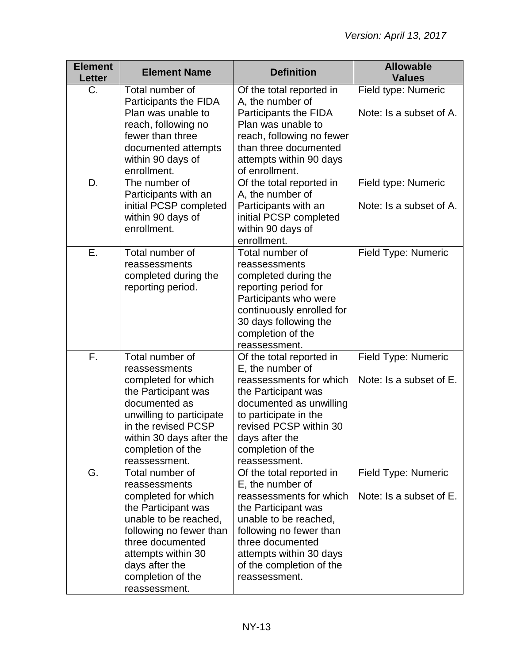| <b>Element</b><br><b>Letter</b> | <b>Element Name</b>                                                                                                                                                                                                                  | <b>Definition</b>                                                                                                                                                                                                                              | <b>Allowable</b><br><b>Values</b>              |
|---------------------------------|--------------------------------------------------------------------------------------------------------------------------------------------------------------------------------------------------------------------------------------|------------------------------------------------------------------------------------------------------------------------------------------------------------------------------------------------------------------------------------------------|------------------------------------------------|
| $C_{\cdot}$                     | Total number of<br>Participants the FIDA<br>Plan was unable to<br>reach, following no<br>fewer than three<br>documented attempts                                                                                                     | Of the total reported in<br>A, the number of<br>Participants the FIDA<br>Plan was unable to<br>reach, following no fewer<br>than three documented                                                                                              | Field type: Numeric<br>Note: Is a subset of A. |
|                                 | within 90 days of<br>enrollment.                                                                                                                                                                                                     | attempts within 90 days<br>of enrollment.                                                                                                                                                                                                      |                                                |
| D.                              | The number of<br>Participants with an<br>initial PCSP completed<br>within 90 days of<br>enrollment.                                                                                                                                  | Of the total reported in<br>A, the number of<br>Participants with an<br>initial PCSP completed<br>within 90 days of<br>enrollment.                                                                                                             | Field type: Numeric<br>Note: Is a subset of A. |
| Ε.                              | Total number of<br>reassessments<br>completed during the<br>reporting period.                                                                                                                                                        | Total number of<br>reassessments<br>completed during the<br>reporting period for<br>Participants who were<br>continuously enrolled for<br>30 days following the<br>completion of the<br>reassessment.                                          | Field Type: Numeric                            |
| F.                              | Total number of<br>reassessments<br>completed for which<br>the Participant was<br>documented as<br>unwilling to participate<br>in the revised PCSP<br>within 30 days after the<br>completion of the<br>reassessment.                 | Of the total reported in<br>E, the number of<br>reassessments for which<br>the Participant was<br>documented as unwilling<br>to participate in the<br>revised PCSP within 30<br>days after the<br>completion of the<br>reassessment.           | Field Type: Numeric<br>Note: Is a subset of E. |
| G.                              | Total number of<br>reassessments<br>completed for which<br>the Participant was<br>unable to be reached,<br>following no fewer than<br>three documented<br>attempts within 30<br>days after the<br>completion of the<br>reassessment. | Of the total reported in<br>E, the number of<br>reassessments for which<br>the Participant was<br>unable to be reached,<br>following no fewer than<br>three documented<br>attempts within 30 days<br>of the completion of the<br>reassessment. | Field Type: Numeric<br>Note: Is a subset of E. |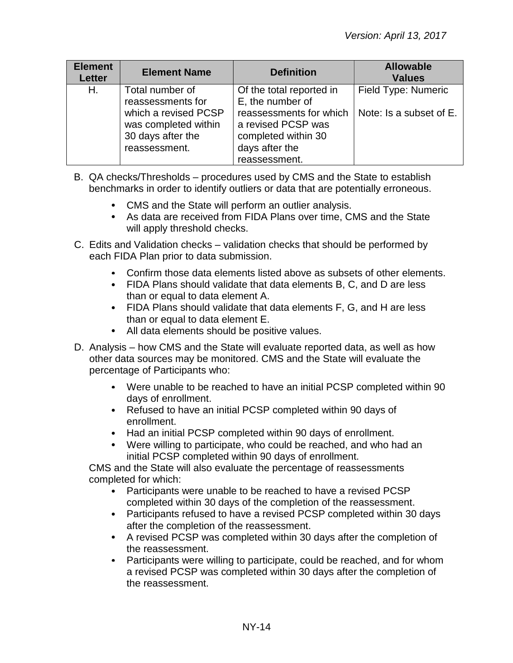| <b>Element</b><br><b>Letter</b> | <b>Element Name</b>                                                                | <b>Definition</b>                                                                                       | <b>Allowable</b><br><b>Values</b> |
|---------------------------------|------------------------------------------------------------------------------------|---------------------------------------------------------------------------------------------------------|-----------------------------------|
| Η.                              | Total number of<br>reassessments for                                               | Of the total reported in<br>E, the number of                                                            | Field Type: Numeric               |
|                                 | which a revised PCSP<br>was completed within<br>30 days after the<br>reassessment. | reassessments for which<br>a revised PCSP was<br>completed within 30<br>days after the<br>reassessment. | Note: Is a subset of E.           |

- B. QA checks/Thresholds procedures used by CMS and the State to establish benchmarks in order to identify outliers or data that are potentially erroneous.
	- CMS and the State will perform an outlier analysis.
	- As data are received from FIDA Plans over time, CMS and the State will apply threshold checks.
- C. Edits and Validation checks validation checks that should be performed by each FIDA Plan prior to data submission.
	- Confirm those data elements listed above as subsets of other elements.
	- FIDA Plans should validate that data elements B, C, and D are less than or equal to data element A.
	- FIDA Plans should validate that data elements F, G, and H are less than or equal to data element E.
	- All data elements should be positive values.
- D. Analysis how CMS and the State will evaluate reported data, as well as how other data sources may be monitored. CMS and the State will evaluate the percentage of Participants who:
	- Were unable to be reached to have an initial PCSP completed within 90 days of enrollment.
	- Refused to have an initial PCSP completed within 90 days of enrollment.
	- Had an initial PCSP completed within 90 days of enrollment.
	- Were willing to participate, who could be reached, and who had an initial PCSP completed within 90 days of enrollment.

CMS and the State will also evaluate the percentage of reassessments completed for which:

- Participants were unable to be reached to have a revised PCSP completed within 30 days of the completion of the reassessment.
- Participants refused to have a revised PCSP completed within 30 days after the completion of the reassessment.
- A revised PCSP was completed within 30 days after the completion of the reassessment.
- Participants were willing to participate, could be reached, and for whom a revised PCSP was completed within 30 days after the completion of the reassessment.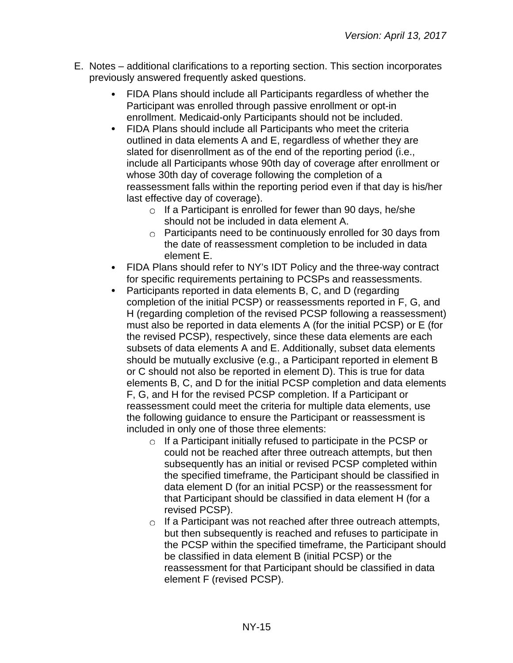- E. Notes additional clarifications to a reporting section. This section incorporates previously answered frequently asked questions.
	- FIDA Plans should include all Participants regardless of whether the Participant was enrolled through passive enrollment or opt-in enrollment. Medicaid-only Participants should not be included.
	- FIDA Plans should include all Participants who meet the criteria outlined in data elements A and E, regardless of whether they are slated for disenrollment as of the end of the reporting period (i.e., include all Participants whose 90th day of coverage after enrollment or whose 30th day of coverage following the completion of a reassessment falls within the reporting period even if that day is his/her last effective day of coverage).
		- $\circ$  If a Participant is enrolled for fewer than 90 days, he/she should not be included in data element A.
		- Participants need to be continuously enrolled for 30 days from the date of reassessment completion to be included in data element E.
	- FIDA Plans should refer to NY's IDT Policy and the three-way contract for specific requirements pertaining to PCSPs and reassessments.
	- Participants reported in data elements B, C, and D (regarding completion of the initial PCSP) or reassessments reported in F, G, and H (regarding completion of the revised PCSP following a reassessment) must also be reported in data elements A (for the initial PCSP) or E (for the revised PCSP), respectively, since these data elements are each subsets of data elements A and E. Additionally, subset data elements should be mutually exclusive (e.g., a Participant reported in element B or C should not also be reported in element D). This is true for data elements B, C, and D for the initial PCSP completion and data elements F, G, and H for the revised PCSP completion. If a Participant or reassessment could meet the criteria for multiple data elements, use the following guidance to ensure the Participant or reassessment is included in only one of those three elements:
		- $\circ$  If a Participant initially refused to participate in the PCSP or could not be reached after three outreach attempts, but then subsequently has an initial or revised PCSP completed within the specified timeframe, the Participant should be classified in data element D (for an initial PCSP) or the reassessment for that Participant should be classified in data element H (for a revised PCSP).
		- $\circ$  If a Participant was not reached after three outreach attempts, but then subsequently is reached and refuses to participate in the PCSP within the specified timeframe, the Participant should be classified in data element B (initial PCSP) or the reassessment for that Participant should be classified in data element F (revised PCSP).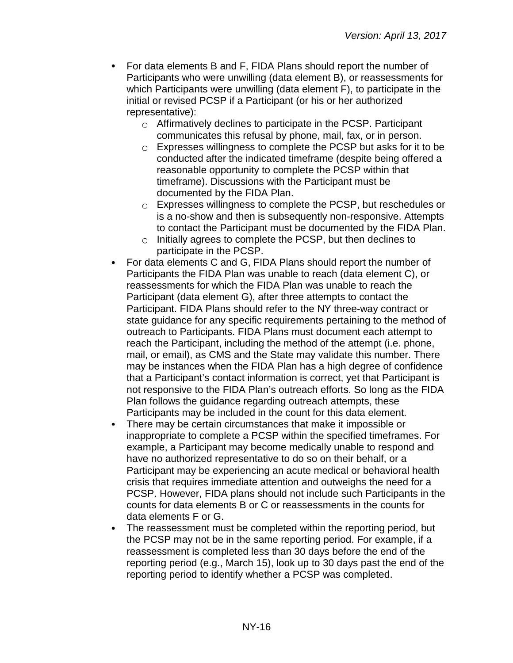- $\bullet$ For data elements B and F, FIDA Plans should report the number of Participants who were unwilling (data element B), or reassessments for which Participants were unwilling (data element F), to participate in the initial or revised PCSP if a Participant (or his or her authorized representative):
	- Affirmatively declines to participate in the PCSP. Participant communicates this refusal by phone, mail, fax, or in person.
	- Expresses willingness to complete the PCSP but asks for it to be conducted after the indicated timeframe (despite being offered a reasonable opportunity to complete the PCSP within that timeframe). Discussions with the Participant must be documented by the FIDA Plan.
	- Expresses willingness to complete the PCSP, but reschedules or is a no-show and then is subsequently non-responsive. Attempts to contact the Participant must be documented by the FIDA Plan.
	- $\circ$  Initially agrees to complete the PCSP, but then declines to participate in the PCSP.
- For data elements C and G, FIDA Plans should report the number of  $\bullet$ Participants the FIDA Plan was unable to reach (data element C), or reassessments for which the FIDA Plan was unable to reach the Participant (data element G), after three attempts to contact the Participant. FIDA Plans should refer to the NY three-way contract or state guidance for any specific requirements pertaining to the method of outreach to Participants. FIDA Plans must document each attempt to reach the Participant, including the method of the attempt (i.e. phone, mail, or email), as CMS and the State may validate this number. There may be instances when the FIDA Plan has a high degree of confidence that a Participant's contact information is correct, yet that Participant is not responsive to the FIDA Plan's outreach efforts. So long as the FIDA Plan follows the guidance regarding outreach attempts, these Participants may be included in the count for this data element.
- There may be certain circumstances that make it impossible or  $\bullet$ inappropriate to complete a PCSP within the specified timeframes. For example, a Participant may become medically unable to respond and have no authorized representative to do so on their behalf, or a Participant may be experiencing an acute medical or behavioral health crisis that requires immediate attention and outweighs the need for a PCSP. However, FIDA plans should not include such Participants in the counts for data elements B or C or reassessments in the counts for data elements F or G.
- The reassessment must be completed within the reporting period, but the PCSP may not be in the same reporting period. For example, if a reassessment is completed less than 30 days before the end of the reporting period (e.g., March 15), look up to 30 days past the end of the reporting period to identify whether a PCSP was completed.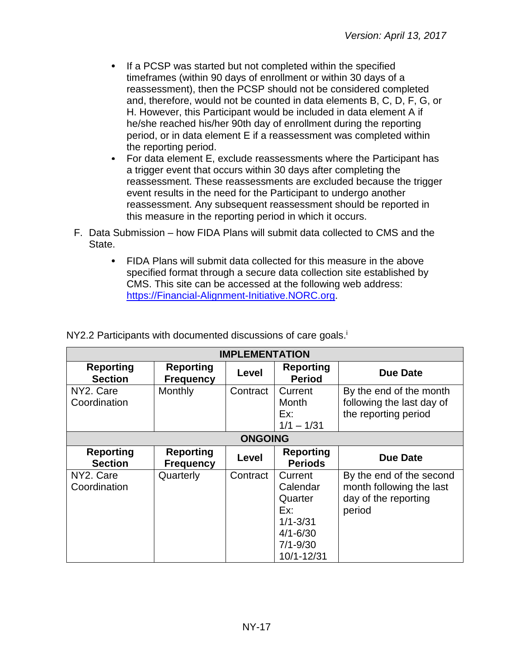- If a PCSP was started but not completed within the specified timeframes (within 90 days of enrollment or within 30 days of a reassessment), then the PCSP should not be considered completed and, therefore, would not be counted in data elements B, C, D, F, G, or H. However, this Participant would be included in data element A if he/she reached his/her 90th day of enrollment during the reporting period, or in data element E if a reassessment was completed within the reporting period.
- For data element E, exclude reassessments where the Participant has a trigger event that occurs within 30 days after completing the reassessment. These reassessments are excluded because the trigger event results in the need for the Participant to undergo another reassessment. Any subsequent reassessment should be reported in this measure in the reporting period in which it occurs.
- F. Data Submission how FIDA Plans will submit data collected to CMS and the State.
	- FIDA Plans will submit data collected for this measure in the above specified format through a secure data collection site established by CMS. This site can be accessed at the following web address: [https://Financial-Alignment-Initiative.NORC.org.](https://financial-alignment-initiative.norc.org/)

| <b>IMPLEMENTATION</b>              |                                      |                |                                                                                                     |                                                                                        |
|------------------------------------|--------------------------------------|----------------|-----------------------------------------------------------------------------------------------------|----------------------------------------------------------------------------------------|
| <b>Reporting</b><br><b>Section</b> | <b>Reporting</b><br><b>Frequency</b> | Level          | <b>Reporting</b><br><b>Period</b>                                                                   | <b>Due Date</b>                                                                        |
| NY2. Care<br>Coordination          | Monthly                              | Contract       | Current<br>Month<br>Ex:<br>$1/1 - 1/31$                                                             | By the end of the month<br>following the last day of<br>the reporting period           |
|                                    |                                      | <b>ONGOING</b> |                                                                                                     |                                                                                        |
| <b>Reporting</b><br><b>Section</b> | <b>Reporting</b><br><b>Frequency</b> | Level          | <b>Reporting</b><br><b>Periods</b>                                                                  | <b>Due Date</b>                                                                        |
| NY2. Care<br>Coordination          | Quarterly                            | Contract       | Current<br>Calendar<br>Quarter<br>Ex:<br>$1/1 - 3/31$<br>$4/1 - 6/30$<br>$7/1 - 9/30$<br>10/1-12/31 | By the end of the second<br>month following the last<br>day of the reporting<br>period |

NY2.2 Participants with documented discussions of care goals.<sup>1</sup>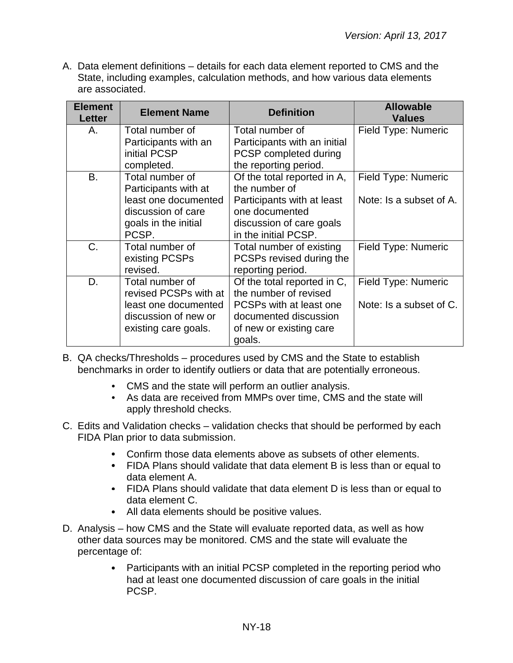| <b>Element</b><br><b>Letter</b> | <b>Element Name</b>                                                                                                    | <b>Definition</b>                                                                                                                                | <b>Allowable</b><br><b>Values</b>              |
|---------------------------------|------------------------------------------------------------------------------------------------------------------------|--------------------------------------------------------------------------------------------------------------------------------------------------|------------------------------------------------|
| Α.                              | Total number of<br>Participants with an<br>initial PCSP<br>completed.                                                  | Total number of<br>Participants with an initial<br>PCSP completed during<br>the reporting period.                                                | Field Type: Numeric                            |
| <b>B.</b>                       | Total number of<br>Participants with at<br>least one documented<br>discussion of care<br>goals in the initial<br>PCSP. | Of the total reported in A,<br>the number of<br>Participants with at least<br>one documented<br>discussion of care goals<br>in the initial PCSP. | Field Type: Numeric<br>Note: Is a subset of A. |
| C.                              | Total number of<br>existing PCSPs<br>revised.                                                                          | Total number of existing<br>PCSPs revised during the<br>reporting period.                                                                        | Field Type: Numeric                            |
| D.                              | Total number of<br>revised PCSPs with at<br>least one documented<br>discussion of new or<br>existing care goals.       | Of the total reported in C,<br>the number of revised<br>PCSPs with at least one<br>documented discussion<br>of new or existing care<br>goals.    | Field Type: Numeric<br>Note: Is a subset of C. |

- B. QA checks/Thresholds procedures used by CMS and the State to establish benchmarks in order to identify outliers or data that are potentially erroneous.
	- CMS and the state will perform an outlier analysis.
	- As data are received from MMPs over time, CMS and the state will apply threshold checks.
- C. Edits and Validation checks validation checks that should be performed by each FIDA Plan prior to data submission.
	- Confirm those data elements above as subsets of other elements.
	- FIDA Plans should validate that data element B is less than or equal to data element A.
	- FIDA Plans should validate that data element D is less than or equal to data element C.
	- All data elements should be positive values.
- D. Analysis how CMS and the State will evaluate reported data, as well as how other data sources may be monitored. CMS and the state will evaluate the percentage of:
	- Participants with an initial PCSP completed in the reporting period who had at least one documented discussion of care goals in the initial PCSP.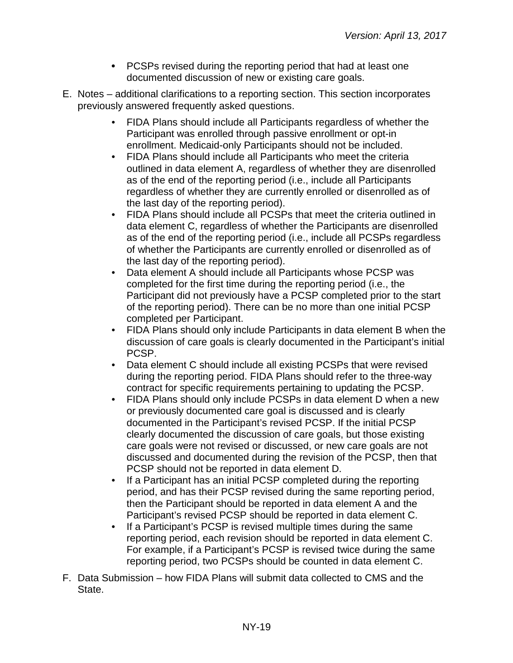- PCSPs revised during the reporting period that had at least one documented discussion of new or existing care goals.
- E. Notes additional clarifications to a reporting section. This section incorporates previously answered frequently asked questions.
	- FIDA Plans should include all Participants regardless of whether the Participant was enrolled through passive enrollment or opt-in enrollment. Medicaid-only Participants should not be included.
	- FIDA Plans should include all Participants who meet the criteria outlined in data element A, regardless of whether they are disenrolled as of the end of the reporting period (i.e., include all Participants regardless of whether they are currently enrolled or disenrolled as of the last day of the reporting period).
	- FIDA Plans should include all PCSPs that meet the criteria outlined in data element C, regardless of whether the Participants are disenrolled as of the end of the reporting period (i.e., include all PCSPs regardless of whether the Participants are currently enrolled or disenrolled as of the last day of the reporting period).
	- Data element A should include all Participants whose PCSP was completed for the first time during the reporting period (i.e., the Participant did not previously have a PCSP completed prior to the start of the reporting period). There can be no more than one initial PCSP completed per Participant.
	- FIDA Plans should only include Participants in data element B when the discussion of care goals is clearly documented in the Participant's initial PCSP.
	- Data element C should include all existing PCSPs that were revised during the reporting period. FIDA Plans should refer to the three-way contract for specific requirements pertaining to updating the PCSP.
	- FIDA Plans should only include PCSPs in data element D when a new or previously documented care goal is discussed and is clearly documented in the Participant's revised PCSP. If the initial PCSP clearly documented the discussion of care goals, but those existing care goals were not revised or discussed, or new care goals are not discussed and documented during the revision of the PCSP, then that PCSP should not be reported in data element D.
	- If a Participant has an initial PCSP completed during the reporting period, and has their PCSP revised during the same reporting period, then the Participant should be reported in data element A and the Participant's revised PCSP should be reported in data element C.
	- If a Participant's PCSP is revised multiple times during the same reporting period, each revision should be reported in data element C. For example, if a Participant's PCSP is revised twice during the same reporting period, two PCSPs should be counted in data element C.
- F. Data Submission how FIDA Plans will submit data collected to CMS and the State.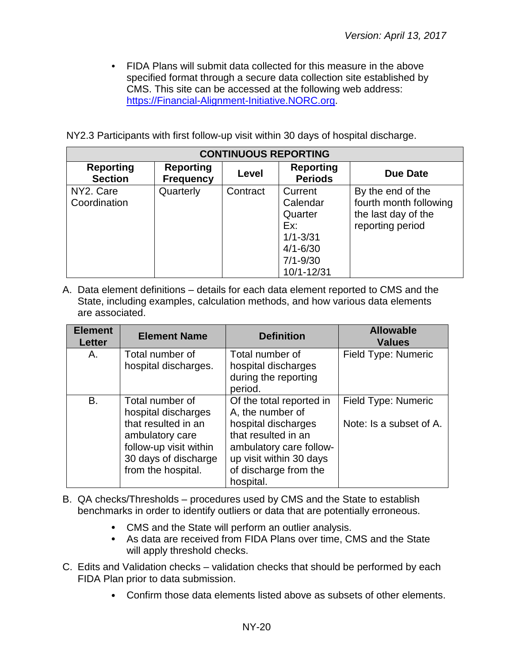• FIDA Plans will submit data collected for this measure in the above specified format through a secure data collection site established by CMS. This site can be accessed at the following web address: [https://Financial-Alignment-Initiative.NORC.org.](https://financial-alignment-initiative.norc.org/)

NY2.3 Participants with first follow-up visit within 30 days of hospital discharge.

| <b>CONTINUOUS REPORTING</b>        |                                      |          |                                    |                        |  |
|------------------------------------|--------------------------------------|----------|------------------------------------|------------------------|--|
| <b>Reporting</b><br><b>Section</b> | <b>Reporting</b><br><b>Frequency</b> | Level    | <b>Reporting</b><br><b>Periods</b> | <b>Due Date</b>        |  |
| NY2. Care                          | Quarterly                            | Contract | Current                            | By the end of the      |  |
| Coordination                       |                                      |          | Calendar                           | fourth month following |  |
|                                    |                                      |          | Quarter                            | the last day of the    |  |
|                                    |                                      |          | Ex:                                | reporting period       |  |
|                                    |                                      |          | $1/1 - 3/31$                       |                        |  |
|                                    |                                      |          | $4/1 - 6/30$                       |                        |  |
|                                    |                                      |          | $7/1 - 9/30$                       |                        |  |
|                                    |                                      |          | 10/1-12/31                         |                        |  |

| <b>Element</b><br><b>Letter</b> | <b>Element Name</b>                                                                                                                                      | <b>Definition</b>                                                                                                                                                                      | <b>Allowable</b><br><b>Values</b>              |
|---------------------------------|----------------------------------------------------------------------------------------------------------------------------------------------------------|----------------------------------------------------------------------------------------------------------------------------------------------------------------------------------------|------------------------------------------------|
| Α.                              | Total number of<br>hospital discharges.                                                                                                                  | Total number of<br>hospital discharges<br>during the reporting<br>period.                                                                                                              | Field Type: Numeric                            |
| B.                              | Total number of<br>hospital discharges<br>that resulted in an<br>ambulatory care<br>follow-up visit within<br>30 days of discharge<br>from the hospital. | Of the total reported in<br>A, the number of<br>hospital discharges<br>that resulted in an<br>ambulatory care follow-<br>up visit within 30 days<br>of discharge from the<br>hospital. | Field Type: Numeric<br>Note: Is a subset of A. |

- B. QA checks/Thresholds procedures used by CMS and the State to establish benchmarks in order to identify outliers or data that are potentially erroneous.
	- CMS and the State will perform an outlier analysis.
	- As data are received from FIDA Plans over time, CMS and the State will apply threshold checks.
- C. Edits and Validation checks validation checks that should be performed by each FIDA Plan prior to data submission.
	- Confirm those data elements listed above as subsets of other elements.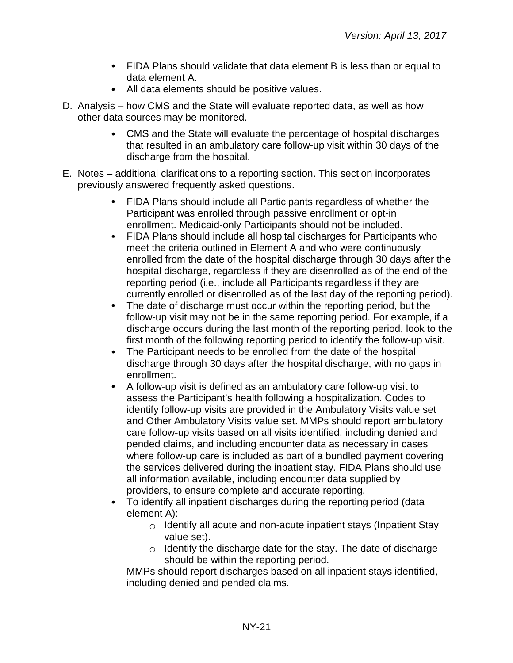- FIDA Plans should validate that data element B is less than or equal to data element A.
- All data elements should be positive values.
- D. Analysis how CMS and the State will evaluate reported data, as well as how other data sources may be monitored.
	- CMS and the State will evaluate the percentage of hospital discharges that resulted in an ambulatory care follow-up visit within 30 days of the discharge from the hospital.
- E. Notes additional clarifications to a reporting section. This section incorporates previously answered frequently asked questions.
	- FIDA Plans should include all Participants regardless of whether the Participant was enrolled through passive enrollment or opt-in enrollment. Medicaid-only Participants should not be included.
	- FIDA Plans should include all hospital discharges for Participants who meet the criteria outlined in Element A and who were continuously enrolled from the date of the hospital discharge through 30 days after the hospital discharge, regardless if they are disenrolled as of the end of the reporting period (i.e., include all Participants regardless if they are currently enrolled or disenrolled as of the last day of the reporting period).
	- The date of discharge must occur within the reporting period, but the follow-up visit may not be in the same reporting period. For example, if a discharge occurs during the last month of the reporting period, look to the first month of the following reporting period to identify the follow-up visit.
	- The Participant needs to be enrolled from the date of the hospital  $\bullet$ discharge through 30 days after the hospital discharge, with no gaps in enrollment.
	- A follow-up visit is defined as an ambulatory care follow-up visit to assess the Participant's health following a hospitalization. Codes to identify follow-up visits are provided in the Ambulatory Visits value set and Other Ambulatory Visits value set. MMPs should report ambulatory care follow-up visits based on all visits identified, including denied and pended claims, and including encounter data as necessary in cases where follow-up care is included as part of a bundled payment covering the services delivered during the inpatient stay. FIDA Plans should use all information available, including encounter data supplied by providers, to ensure complete and accurate reporting.
	- To identify all inpatient discharges during the reporting period (data element A):
		- $\circ$  Identify all acute and non-acute inpatient stays (Inpatient Stay value set).
		- $\circ$  Identify the discharge date for the stay. The date of discharge should be within the reporting period.

MMPs should report discharges based on all inpatient stays identified, including denied and pended claims.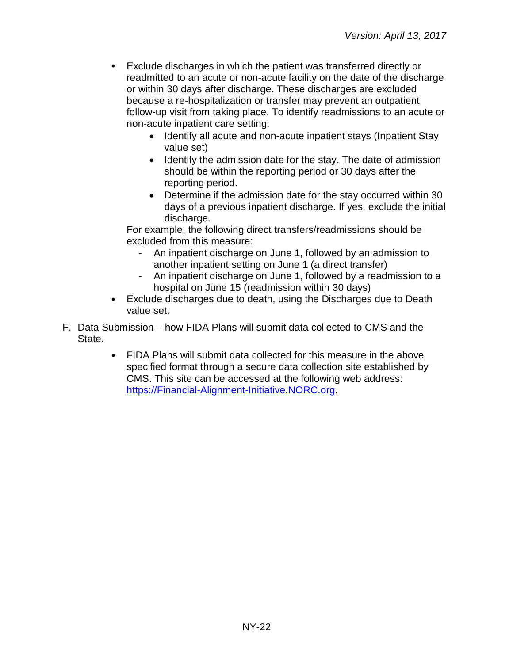- Exclude discharges in which the patient was transferred directly or readmitted to an acute or non-acute facility on the date of the discharge or within 30 days after discharge. These discharges are excluded because a re-hospitalization or transfer may prevent an outpatient follow-up visit from taking place. To identify readmissions to an acute or non-acute inpatient care setting:
	- Identify all acute and non-acute inpatient stays (Inpatient Stay value set)
	- Identify the admission date for the stay. The date of admission should be within the reporting period or 30 days after the reporting period.
	- Determine if the admission date for the stay occurred within 30 days of a previous inpatient discharge. If yes, exclude the initial discharge.

For example, the following direct transfers/readmissions should be excluded from this measure:

- An inpatient discharge on June 1, followed by an admission to another inpatient setting on June 1 (a direct transfer)
- An inpatient discharge on June 1, followed by a readmission to a hospital on June 15 (readmission within 30 days)
- Exclude discharges due to death, using the Discharges due to Death value set.
- F. Data Submission how FIDA Plans will submit data collected to CMS and the State.
	- FIDA Plans will submit data collected for this measure in the above specified format through a secure data collection site established by CMS. This site can be accessed at the following web address: [https://Financial-Alignment-Initiative.NORC.org.](https://financial-alignment-initiative.norc.org/)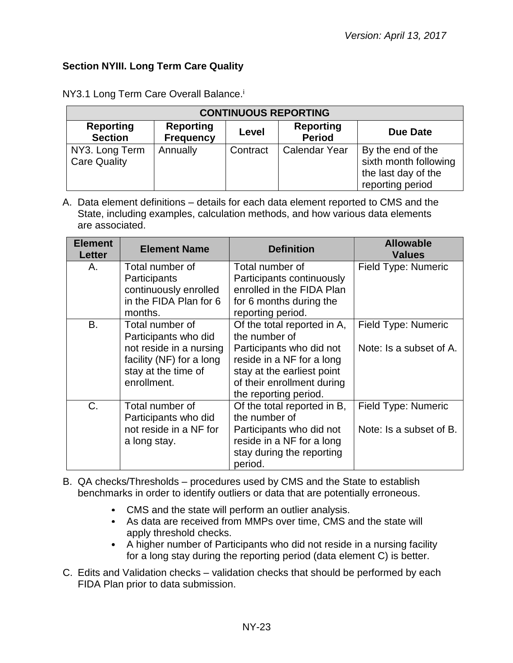## <span id="page-22-0"></span>**Section NYIII. Long Term Care Quality**

| <b>CONTINUOUS REPORTING</b>           |                                      |          |                                   |                                                                                       |  |
|---------------------------------------|--------------------------------------|----------|-----------------------------------|---------------------------------------------------------------------------------------|--|
| <b>Reporting</b><br><b>Section</b>    | <b>Reporting</b><br><b>Frequency</b> | Level    | <b>Reporting</b><br><b>Period</b> | Due Date                                                                              |  |
| NY3. Long Term<br><b>Care Quality</b> | Annually                             | Contract | <b>Calendar Year</b>              | By the end of the<br>sixth month following<br>the last day of the<br>reporting period |  |

NY3.1 Long Term Care Overall Balance.<sup>i</sup>

| <b>Element</b><br><b>Letter</b> | <b>Element Name</b>                                                                                               | <b>Definition</b>                                                                                                                                           | <b>Allowable</b><br><b>Values</b> |
|---------------------------------|-------------------------------------------------------------------------------------------------------------------|-------------------------------------------------------------------------------------------------------------------------------------------------------------|-----------------------------------|
| А.                              | Total number of<br>Participants<br>continuously enrolled<br>in the FIDA Plan for 6                                | Total number of<br>Participants continuously<br>enrolled in the FIDA Plan<br>for 6 months during the                                                        | Field Type: Numeric               |
| <b>B.</b>                       | months.<br>Total number of                                                                                        | reporting period.<br>Of the total reported in A,                                                                                                            | Field Type: Numeric               |
|                                 | Participants who did<br>not reside in a nursing<br>facility (NF) for a long<br>stay at the time of<br>enrollment. | the number of<br>Participants who did not<br>reside in a NF for a long<br>stay at the earliest point<br>of their enrollment during<br>the reporting period. | Note: Is a subset of A.           |
| C.                              | Total number of<br>Participants who did                                                                           | Of the total reported in B,<br>the number of                                                                                                                | Field Type: Numeric               |
|                                 | not reside in a NF for<br>a long stay.                                                                            | Participants who did not<br>reside in a NF for a long<br>stay during the reporting<br>period.                                                               | Note: Is a subset of B.           |

- B. QA checks/Thresholds procedures used by CMS and the State to establish benchmarks in order to identify outliers or data that are potentially erroneous.
	- CMS and the state will perform an outlier analysis.
	- As data are received from MMPs over time, CMS and the state will apply threshold checks.
	- A higher number of Participants who did not reside in a nursing facility for a long stay during the reporting period (data element C) is better.
- C. Edits and Validation checks validation checks that should be performed by each FIDA Plan prior to data submission.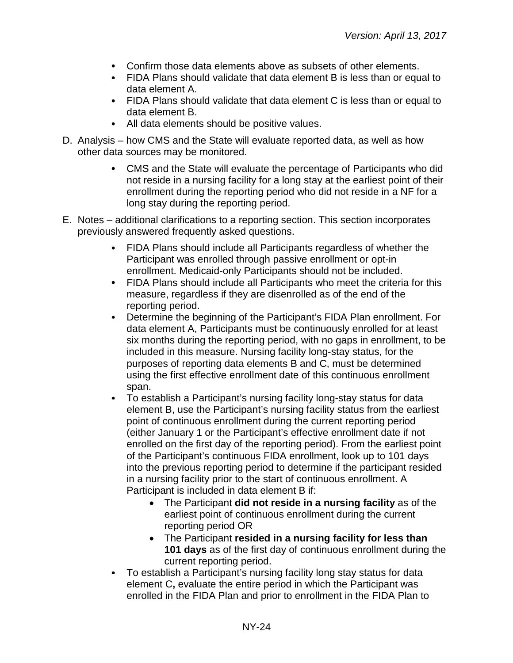- Confirm those data elements above as subsets of other elements.
- FIDA Plans should validate that data element B is less than or equal to data element A.
- FIDA Plans should validate that data element C is less than or equal to data element B.
- All data elements should be positive values.
- D. Analysis how CMS and the State will evaluate reported data, as well as how other data sources may be monitored.
	- CMS and the State will evaluate the percentage of Participants who did not reside in a nursing facility for a long stay at the earliest point of their enrollment during the reporting period who did not reside in a NF for a long stay during the reporting period.
- E. Notes additional clarifications to a reporting section. This section incorporates previously answered frequently asked questions.
	- FIDA Plans should include all Participants regardless of whether the Participant was enrolled through passive enrollment or opt-in enrollment. Medicaid-only Participants should not be included.
	- FIDA Plans should include all Participants who meet the criteria for this measure, regardless if they are disenrolled as of the end of the reporting period.
	- Determine the beginning of the Participant's FIDA Plan enrollment. For data element A, Participants must be continuously enrolled for at least six months during the reporting period, with no gaps in enrollment, to be included in this measure. Nursing facility long-stay status, for the purposes of reporting data elements B and C, must be determined using the first effective enrollment date of this continuous enrollment span.
	- To establish a Participant's nursing facility long-stay status for data element B, use the Participant's nursing facility status from the earliest point of continuous enrollment during the current reporting period (either January 1 or the Participant's effective enrollment date if not enrolled on the first day of the reporting period). From the earliest point of the Participant's continuous FIDA enrollment, look up to 101 days into the previous reporting period to determine if the participant resided in a nursing facility prior to the start of continuous enrollment. A Participant is included in data element B if:
		- The Participant **did not reside in a nursing facility** as of the earliest point of continuous enrollment during the current reporting period OR
		- The Participant **resided in a nursing facility for less than 101 days** as of the first day of continuous enrollment during the current reporting period.
	- To establish a Participant's nursing facility long stay status for data  $\bullet$ element C**,** evaluate the entire period in which the Participant was enrolled in the FIDA Plan and prior to enrollment in the FIDA Plan to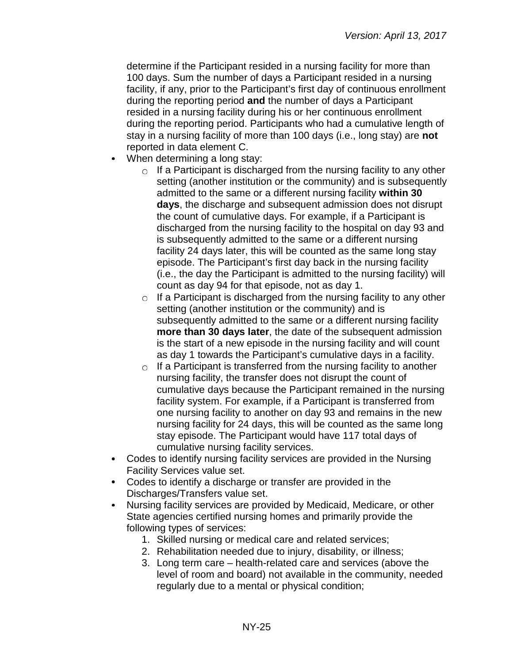determine if the Participant resided in a nursing facility for more than 100 days. Sum the number of days a Participant resided in a nursing facility, if any, prior to the Participant's first day of continuous enrollment during the reporting period **and** the number of days a Participant resided in a nursing facility during his or her continuous enrollment during the reporting period. Participants who had a cumulative length of stay in a nursing facility of more than 100 days (i.e., long stay) are **not** reported in data element C.

- When determining a long stay:
	- $\circ$  If a Participant is discharged from the nursing facility to any other setting (another institution or the community) and is subsequently admitted to the same or a different nursing facility **within 30 days**, the discharge and subsequent admission does not disrupt the count of cumulative days. For example, if a Participant is discharged from the nursing facility to the hospital on day 93 and is subsequently admitted to the same or a different nursing facility 24 days later, this will be counted as the same long stay episode. The Participant's first day back in the nursing facility (i.e., the day the Participant is admitted to the nursing facility) will count as day 94 for that episode, not as day 1.
	- $\circ$  If a Participant is discharged from the nursing facility to any other setting (another institution or the community) and is subsequently admitted to the same or a different nursing facility **more than 30 days later**, the date of the subsequent admission is the start of a new episode in the nursing facility and will count as day 1 towards the Participant's cumulative days in a facility.
	- $\circ$  If a Participant is transferred from the nursing facility to another nursing facility, the transfer does not disrupt the count of cumulative days because the Participant remained in the nursing facility system. For example, if a Participant is transferred from one nursing facility to another on day 93 and remains in the new nursing facility for 24 days, this will be counted as the same long stay episode. The Participant would have 117 total days of cumulative nursing facility services.
- Codes to identify nursing facility services are provided in the Nursing Facility Services value set.
- Codes to identify a discharge or transfer are provided in the Discharges/Transfers value set.
- $\bullet$ Nursing facility services are provided by Medicaid, Medicare, or other State agencies certified nursing homes and primarily provide the following types of services:
	- 1. Skilled nursing or medical care and related services;
	- 2. Rehabilitation needed due to injury, disability, or illness;
	- 3. Long term care health-related care and services (above the level of room and board) not available in the community, needed regularly due to a mental or physical condition;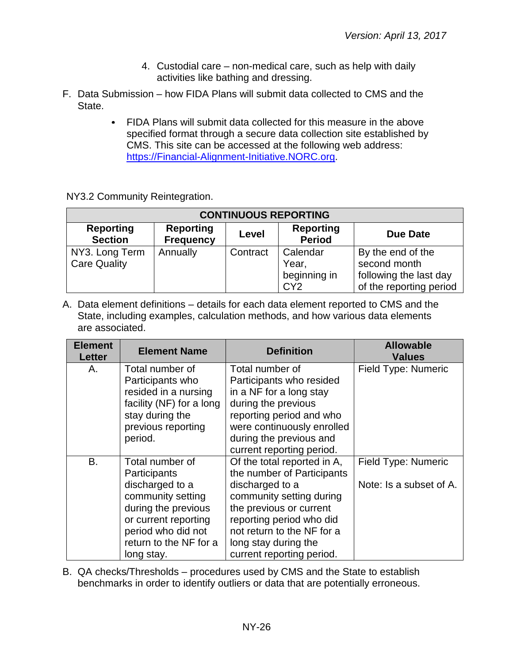- 4. Custodial care non-medical care, such as help with daily activities like bathing and dressing.
- F. Data Submission how FIDA Plans will submit data collected to CMS and the State.
	- FIDA Plans will submit data collected for this measure in the above  $\bullet$ specified format through a secure data collection site established by CMS. This site can be accessed at the following web address: [https://Financial-Alignment-Initiative.NORC.org.](https://financial-alignment-initiative.norc.org/)

NY3.2 Community Reintegration.

| <b>CONTINUOUS REPORTING</b>           |                                      |          |                                                      |                                                                                        |  |
|---------------------------------------|--------------------------------------|----------|------------------------------------------------------|----------------------------------------------------------------------------------------|--|
| <b>Reporting</b><br><b>Section</b>    | <b>Reporting</b><br><b>Frequency</b> | Level    | <b>Reporting</b><br><b>Period</b>                    | Due Date                                                                               |  |
| NY3. Long Term<br><b>Care Quality</b> | Annually                             | Contract | Calendar<br>Year,<br>beginning in<br>CY <sub>2</sub> | By the end of the<br>second month<br>following the last day<br>of the reporting period |  |

A. Data element definitions – details for each data element reported to CMS and the State, including examples, calculation methods, and how various data elements are associated.

| <b>Element</b><br><b>Letter</b> | <b>Element Name</b>      | <b>Definition</b>           | <b>Allowable</b><br><b>Values</b> |
|---------------------------------|--------------------------|-----------------------------|-----------------------------------|
| А.                              | Total number of          | Total number of             | Field Type: Numeric               |
|                                 | Participants who         | Participants who resided    |                                   |
|                                 | resided in a nursing     | in a NF for a long stay     |                                   |
|                                 | facility (NF) for a long | during the previous         |                                   |
|                                 | stay during the          | reporting period and who    |                                   |
|                                 | previous reporting       | were continuously enrolled  |                                   |
|                                 | period.                  | during the previous and     |                                   |
|                                 |                          | current reporting period.   |                                   |
| B.                              | Total number of          | Of the total reported in A, | Field Type: Numeric               |
|                                 | Participants             | the number of Participants  |                                   |
|                                 | discharged to a          | discharged to a             | Note: Is a subset of A.           |
|                                 | community setting        | community setting during    |                                   |
|                                 | during the previous      | the previous or current     |                                   |
|                                 | or current reporting     | reporting period who did    |                                   |
|                                 | period who did not       | not return to the NF for a  |                                   |
|                                 | return to the NF for a   | long stay during the        |                                   |
|                                 | long stay.               | current reporting period.   |                                   |

B. QA checks/Thresholds – procedures used by CMS and the State to establish benchmarks in order to identify outliers or data that are potentially erroneous.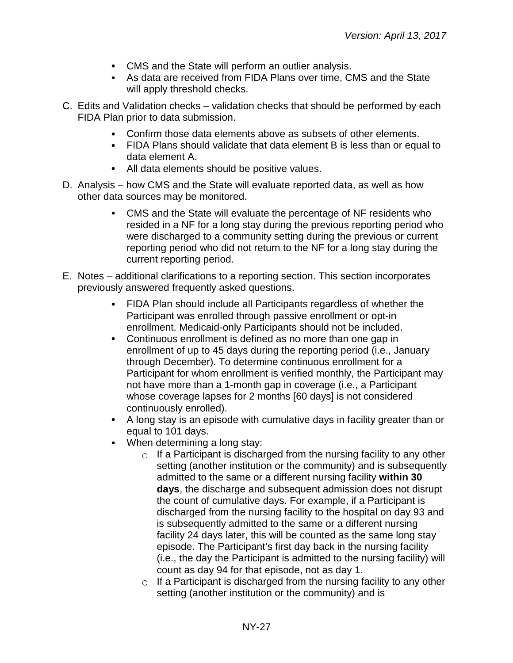- CMS and the State will perform an outlier analysis.
- As data are received from FIDA Plans over time, CMS and the State will apply threshold checks.
- C. Edits and Validation checks validation checks that should be performed by each FIDA Plan prior to data submission.
	- Confirm those data elements above as subsets of other elements.
	- FIDA Plans should validate that data element B is less than or equal to data element A.
	- All data elements should be positive values.
- D. Analysis how CMS and the State will evaluate reported data, as well as how other data sources may be monitored.
	- CMS and the State will evaluate the percentage of NF residents who resided in a NF for a long stay during the previous reporting period who were discharged to a community setting during the previous or current reporting period who did not return to the NF for a long stay during the current reporting period.
- E. Notes additional clarifications to a reporting section. This section incorporates previously answered frequently asked questions.
	- FIDA Plan should include all Participants regardless of whether the Participant was enrolled through passive enrollment or opt-in enrollment. Medicaid-only Participants should not be included.
	- Continuous enrollment is defined as no more than one gap in enrollment of up to 45 days during the reporting period (i.e., January through December). To determine continuous enrollment for a Participant for whom enrollment is verified monthly, the Participant may not have more than a 1-month gap in coverage (i.e., a Participant whose coverage lapses for 2 months [60 days] is not considered continuously enrolled).
	- A long stay is an episode with cumulative days in facility greater than or equal to 101 days.
	- When determining a long stay:
		- $\circ$  If a Participant is discharged from the nursing facility to any other setting (another institution or the community) and is subsequently admitted to the same or a different nursing facility **within 30 days**, the discharge and subsequent admission does not disrupt the count of cumulative days. For example, if a Participant is discharged from the nursing facility to the hospital on day 93 and is subsequently admitted to the same or a different nursing facility 24 days later, this will be counted as the same long stay episode. The Participant's first day back in the nursing facility (i.e., the day the Participant is admitted to the nursing facility) will count as day 94 for that episode, not as day 1.
		- $\circ$  If a Participant is discharged from the nursing facility to any other setting (another institution or the community) and is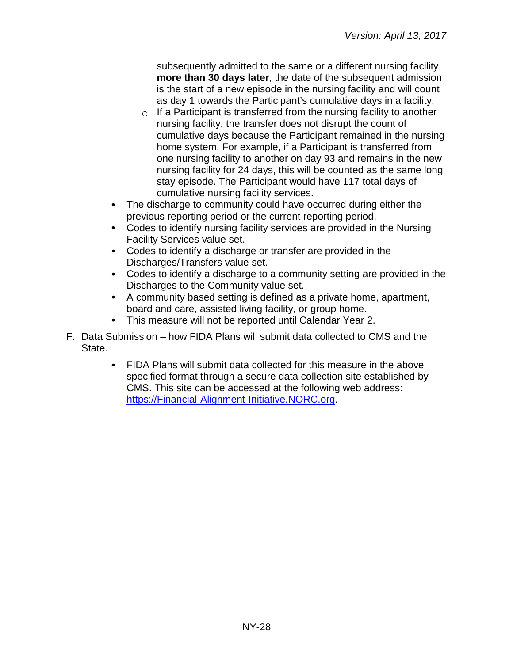subsequently admitted to the same or a different nursing facility **more than 30 days later**, the date of the subsequent admission is the start of a new episode in the nursing facility and will count as day 1 towards the Participant's cumulative days in a facility.

- $\circ$  If a Participant is transferred from the nursing facility to another nursing facility, the transfer does not disrupt the count of cumulative days because the Participant remained in the nursing home system. For example, if a Participant is transferred from one nursing facility to another on day 93 and remains in the new nursing facility for 24 days, this will be counted as the same long stay episode. The Participant would have 117 total days of cumulative nursing facility services.
- The discharge to community could have occurred during either the previous reporting period or the current reporting period.
- Codes to identify nursing facility services are provided in the Nursing Facility Services value set.
- Codes to identify a discharge or transfer are provided in the Discharges/Transfers value set.
- Codes to identify a discharge to a community setting are provided in the Discharges to the Community value set.
- A community based setting is defined as a private home, apartment, board and care, assisted living facility, or group home.
- This measure will not be reported until Calendar Year 2.
- F. Data Submission how FIDA Plans will submit data collected to CMS and the State.
	- FIDA Plans will submit data collected for this measure in the above specified format through a secure data collection site established by CMS. This site can be accessed at the following web address: [https://Financial-Alignment-Initiative.NORC.org.](https://financial-alignment-initiative.norc.org/)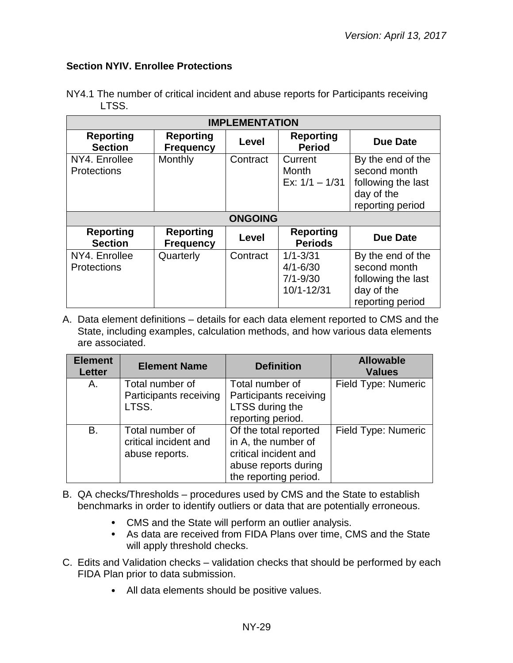#### <span id="page-28-0"></span>**Section NYIV. Enrollee Protections**

| <b>IMPLEMENTATION</b>               |                                      |                |                                                            |                                                                                           |  |
|-------------------------------------|--------------------------------------|----------------|------------------------------------------------------------|-------------------------------------------------------------------------------------------|--|
| <b>Reporting</b><br><b>Section</b>  | <b>Reporting</b><br><b>Frequency</b> | Level          | <b>Reporting</b><br><b>Period</b>                          | <b>Due Date</b>                                                                           |  |
| NY4. Enrollee<br><b>Protections</b> | Monthly                              | Contract       | Current<br>Month<br>Ex: $1/1 - 1/31$                       | By the end of the<br>second month<br>following the last<br>day of the<br>reporting period |  |
|                                     |                                      | <b>ONGOING</b> |                                                            |                                                                                           |  |
| <b>Reporting</b><br><b>Section</b>  | <b>Reporting</b><br><b>Frequency</b> | Level          | <b>Reporting</b><br><b>Periods</b>                         | <b>Due Date</b>                                                                           |  |
| NY4. Enrollee<br><b>Protections</b> | Quarterly                            | Contract       | $1/1 - 3/31$<br>$4/1 - 6/30$<br>$7/1 - 9/30$<br>10/1-12/31 | By the end of the<br>second month<br>following the last<br>day of the<br>reporting period |  |

NY4.1 The number of critical incident and abuse reports for Participants receiving LTSS.

| <b>Element</b><br><b>Letter</b> | <b>Element Name</b>                                        | <b>Definition</b>                                                                                                      | <b>Allowable</b><br><b>Values</b> |
|---------------------------------|------------------------------------------------------------|------------------------------------------------------------------------------------------------------------------------|-----------------------------------|
| Α.                              | Total number of<br>Participants receiving<br>LTSS.         | Total number of<br>Participants receiving<br>LTSS during the<br>reporting period.                                      | Field Type: Numeric               |
| B.                              | Total number of<br>critical incident and<br>abuse reports. | Of the total reported<br>in A, the number of<br>critical incident and<br>abuse reports during<br>the reporting period. | Field Type: Numeric               |

- B. QA checks/Thresholds procedures used by CMS and the State to establish benchmarks in order to identify outliers or data that are potentially erroneous.
	- CMS and the State will perform an outlier analysis.
	- As data are received from FIDA Plans over time, CMS and the State will apply threshold checks.
- C. Edits and Validation checks validation checks that should be performed by each FIDA Plan prior to data submission.
	- All data elements should be positive values.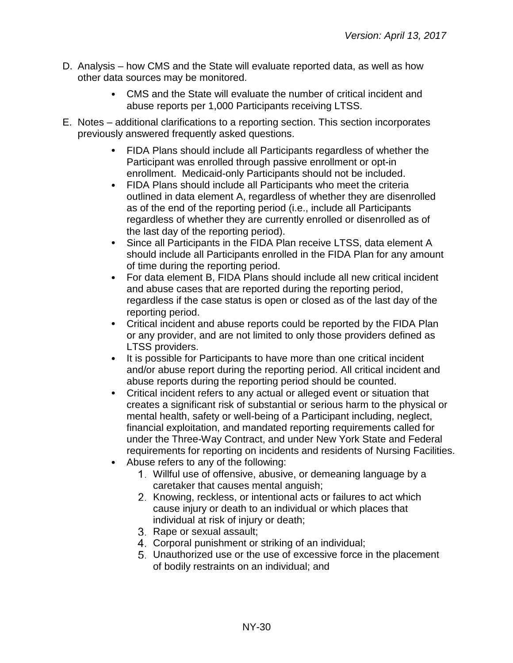- D. Analysis how CMS and the State will evaluate reported data, as well as how other data sources may be monitored.
	- CMS and the State will evaluate the number of critical incident and abuse reports per 1,000 Participants receiving LTSS.
- E. Notes additional clarifications to a reporting section. This section incorporates previously answered frequently asked questions.
	- FIDA Plans should include all Participants regardless of whether the Participant was enrolled through passive enrollment or opt-in enrollment. Medicaid-only Participants should not be included.
	- FIDA Plans should include all Participants who meet the criteria outlined in data element A, regardless of whether they are disenrolled as of the end of the reporting period (i.e., include all Participants regardless of whether they are currently enrolled or disenrolled as of the last day of the reporting period).
	- Since all Participants in the FIDA Plan receive LTSS, data element A should include all Participants enrolled in the FIDA Plan for any amount of time during the reporting period.
	- For data element B, FIDA Plans should include all new critical incident and abuse cases that are reported during the reporting period, regardless if the case status is open or closed as of the last day of the reporting period.
	- Critical incident and abuse reports could be reported by the FIDA Plan or any provider, and are not limited to only those providers defined as LTSS providers.
	- It is possible for Participants to have more than one critical incident and/or abuse report during the reporting period. All critical incident and abuse reports during the reporting period should be counted.
	- Critical incident refers to any actual or alleged event or situation that creates a significant risk of substantial or serious harm to the physical or mental health, safety or well-being of a Participant including, neglect, financial exploitation, and mandated reporting requirements called for under the Three-Way Contract, and under New York State and Federal requirements for reporting on incidents and residents of Nursing Facilities.
	- Abuse refers to any of the following:
		- Willful use of offensive, abusive, or demeaning language by a caretaker that causes mental anguish;
		- 2. Knowing, reckless, or intentional acts or failures to act which cause injury or death to an individual or which places that individual at risk of injury or death;
		- 3. Rape or sexual assault;
		- Corporal punishment or striking of an individual;
		- Unauthorized use or the use of excessive force in the placement of bodily restraints on an individual; and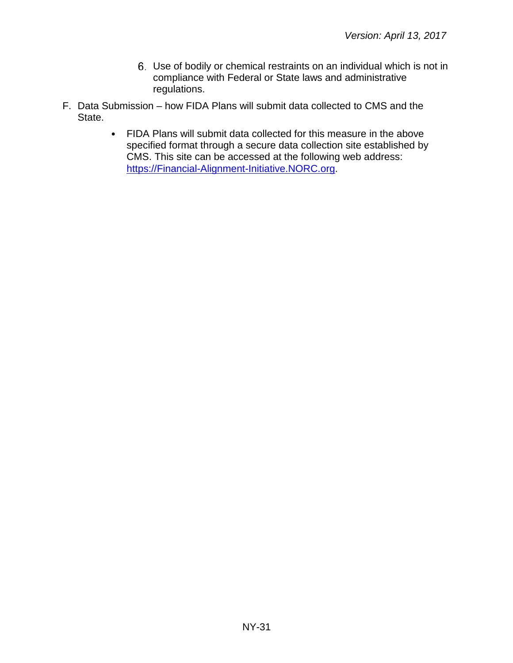- Use of bodily or chemical restraints on an individual which is not in compliance with Federal or State laws and administrative regulations.
- F. Data Submission how FIDA Plans will submit data collected to CMS and the State.
	- FIDA Plans will submit data collected for this measure in the above specified format through a secure data collection site established by CMS. This site can be accessed at the following web address: [https://Financial-Alignment-Initiative.NORC.org.](https://financial-alignment-initiative.norc.org/)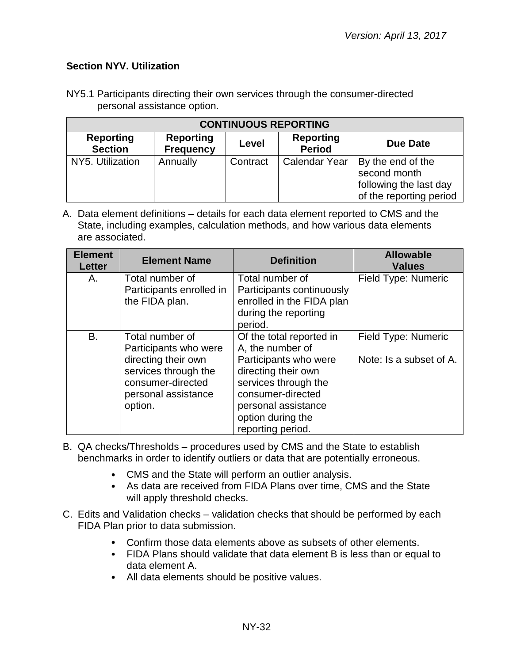## <span id="page-31-0"></span>**Section NYV. Utilization**

NY5.1 Participants directing their own services through the consumer-directed personal assistance option.

| <b>CONTINUOUS REPORTING</b>                                                                                                          |          |          |               |                                                                                        |  |
|--------------------------------------------------------------------------------------------------------------------------------------|----------|----------|---------------|----------------------------------------------------------------------------------------|--|
| <b>Reporting</b><br><b>Reporting</b><br><b>Reporting</b><br>Due Date<br>Level<br><b>Period</b><br><b>Section</b><br><b>Frequency</b> |          |          |               |                                                                                        |  |
| NY5. Utilization                                                                                                                     | Annually | Contract | Calendar Year | By the end of the<br>second month<br>following the last day<br>of the reporting period |  |

| <b>Element</b><br><b>Letter</b> | <b>Element Name</b>                                                                                                                            | <b>Definition</b>                                                                                                                                                                                          | <b>Allowable</b><br><b>Values</b>              |
|---------------------------------|------------------------------------------------------------------------------------------------------------------------------------------------|------------------------------------------------------------------------------------------------------------------------------------------------------------------------------------------------------------|------------------------------------------------|
| А.                              | Total number of<br>Participants enrolled in<br>the FIDA plan.                                                                                  | Total number of<br>Participants continuously<br>enrolled in the FIDA plan<br>during the reporting<br>period.                                                                                               | Field Type: Numeric                            |
| B.                              | Total number of<br>Participants who were<br>directing their own<br>services through the<br>consumer-directed<br>personal assistance<br>option. | Of the total reported in<br>A, the number of<br>Participants who were<br>directing their own<br>services through the<br>consumer-directed<br>personal assistance<br>option during the<br>reporting period. | Field Type: Numeric<br>Note: Is a subset of A. |

- B. QA checks/Thresholds procedures used by CMS and the State to establish benchmarks in order to identify outliers or data that are potentially erroneous.
	- CMS and the State will perform an outlier analysis.
	- As data are received from FIDA Plans over time, CMS and the State will apply threshold checks.
- C. Edits and Validation checks validation checks that should be performed by each FIDA Plan prior to data submission.
	- Confirm those data elements above as subsets of other elements.
	- FIDA Plans should validate that data element B is less than or equal to data element A.
	- All data elements should be positive values.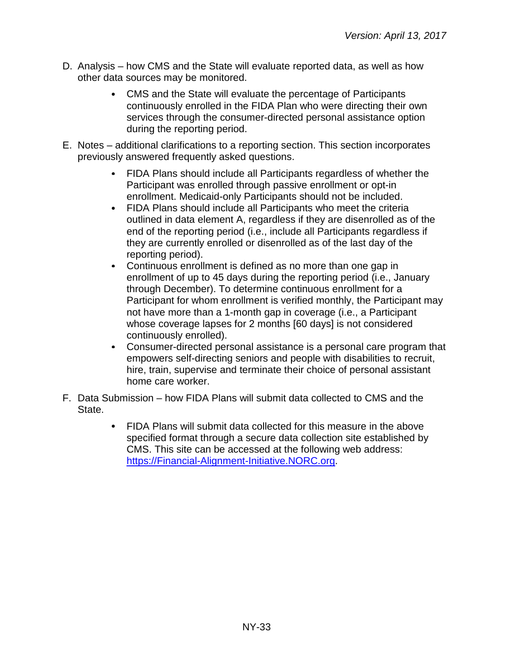- D. Analysis how CMS and the State will evaluate reported data, as well as how other data sources may be monitored.
	- CMS and the State will evaluate the percentage of Participants continuously enrolled in the FIDA Plan who were directing their own services through the consumer-directed personal assistance option during the reporting period.
- E. Notes additional clarifications to a reporting section. This section incorporates previously answered frequently asked questions.
	- FIDA Plans should include all Participants regardless of whether the Participant was enrolled through passive enrollment or opt-in enrollment. Medicaid-only Participants should not be included.
	- FIDA Plans should include all Participants who meet the criteria outlined in data element A, regardless if they are disenrolled as of the end of the reporting period (i.e., include all Participants regardless if they are currently enrolled or disenrolled as of the last day of the reporting period).
	- Continuous enrollment is defined as no more than one gap in enrollment of up to 45 days during the reporting period (i.e., January through December). To determine continuous enrollment for a Participant for whom enrollment is verified monthly, the Participant may not have more than a 1-month gap in coverage (i.e., a Participant whose coverage lapses for 2 months [60 days] is not considered continuously enrolled).
	- Consumer-directed personal assistance is a personal care program that empowers self-directing seniors and people with disabilities to recruit, hire, train, supervise and terminate their choice of personal assistant home care worker.
- F. Data Submission how FIDA Plans will submit data collected to CMS and the State.
	- FIDA Plans will submit data collected for this measure in the above specified format through a secure data collection site established by CMS. This site can be accessed at the following web address: [https://Financial-Alignment-Initiative.NORC.org.](https://financial-alignment-initiative.norc.org/)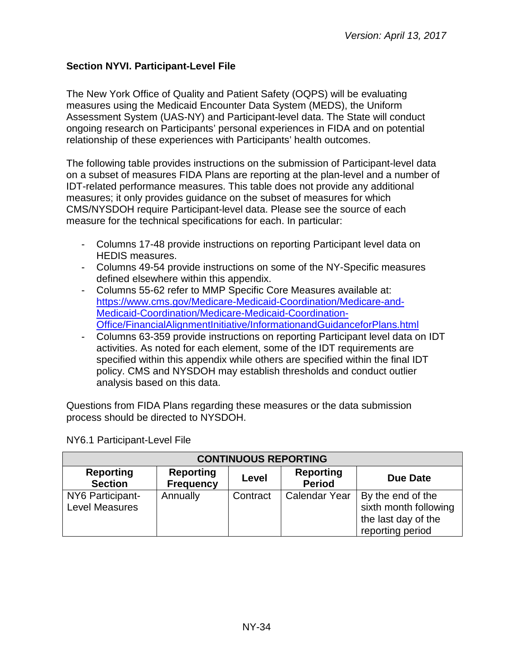## <span id="page-33-0"></span>**Section NYVI. Participant-Level File**

The New York Office of Quality and Patient Safety (OQPS) will be evaluating measures using the Medicaid Encounter Data System (MEDS), the Uniform Assessment System (UAS-NY) and Participant-level data. The State will conduct ongoing research on Participants' personal experiences in FIDA and on potential relationship of these experiences with Participants' health outcomes.

The following table provides instructions on the submission of Participant-level data on a subset of measures FIDA Plans are reporting at the plan-level and a number of IDT-related performance measures. This table does not provide any additional measures; it only provides guidance on the subset of measures for which CMS/NYSDOH require Participant-level data. Please see the source of each measure for the technical specifications for each. In particular:

- Columns 17-48 provide instructions on reporting Participant level data on HEDIS measures.
- Columns 49-54 provide instructions on some of the NY-Specific measures defined elsewhere within this appendix.
- Columns 55-62 refer to MMP Specific Core Measures available at: [https://www.cms.gov/Medicare-Medicaid-Coordination/Medicare-and-](https://www.cms.gov/Medicare-Medicaid-Coordination/Medicare-and-Medicaid-Coordination/Medicare-Medicaid-Coordination-Office/FinancialAlignmentInitiative/InformationandGuidanceforPlans.html)[Medicaid-Coordination/Medicare-Medicaid-Coordination-](https://www.cms.gov/Medicare-Medicaid-Coordination/Medicare-and-Medicaid-Coordination/Medicare-Medicaid-Coordination-Office/FinancialAlignmentInitiative/InformationandGuidanceforPlans.html)[Office/FinancialAlignmentInitiative/InformationandGuidanceforPlans.html](https://www.cms.gov/Medicare-Medicaid-Coordination/Medicare-and-Medicaid-Coordination/Medicare-Medicaid-Coordination-Office/FinancialAlignmentInitiative/InformationandGuidanceforPlans.html)
- Columns 63-359 provide instructions on reporting Participant level data on IDT activities. As noted for each element, some of the IDT requirements are specified within this appendix while others are specified within the final IDT policy. CMS and NYSDOH may establish thresholds and conduct outlier analysis based on this data.

Questions from FIDA Plans regarding these measures or the data submission process should be directed to NYSDOH.

| <b>CONTINUOUS REPORTING</b>               |                                      |          |                                   |                                                                                       |  |  |
|-------------------------------------------|--------------------------------------|----------|-----------------------------------|---------------------------------------------------------------------------------------|--|--|
| <b>Reporting</b><br><b>Section</b>        | <b>Reporting</b><br><b>Frequency</b> | Level    | <b>Reporting</b><br><b>Period</b> | Due Date                                                                              |  |  |
| NY6 Participant-<br><b>Level Measures</b> | Annually                             | Contract | <b>Calendar Year</b>              | By the end of the<br>sixth month following<br>the last day of the<br>reporting period |  |  |

NY6.1 Participant-Level File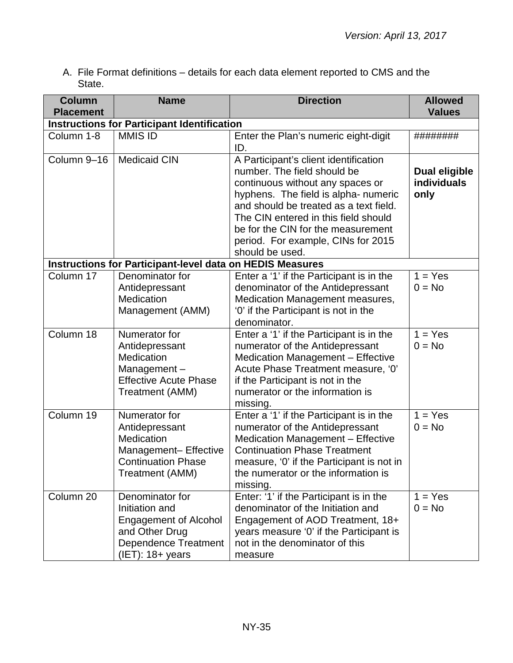A. File Format definitions – details for each data element reported to CMS and the State.

| <b>Column</b>    | <b>Name</b>                                                                                                                               | <b>Direction</b>                                                                                                                                                                                                                                                                                                                  | <b>Allowed</b>                              |
|------------------|-------------------------------------------------------------------------------------------------------------------------------------------|-----------------------------------------------------------------------------------------------------------------------------------------------------------------------------------------------------------------------------------------------------------------------------------------------------------------------------------|---------------------------------------------|
| <b>Placement</b> |                                                                                                                                           |                                                                                                                                                                                                                                                                                                                                   | <b>Values</b>                               |
|                  | <b>Instructions for Participant Identification</b>                                                                                        |                                                                                                                                                                                                                                                                                                                                   |                                             |
| Column 1-8       | <b>MMIS ID</b>                                                                                                                            | Enter the Plan's numeric eight-digit<br>ID.                                                                                                                                                                                                                                                                                       | ########                                    |
| Column 9-16      | <b>Medicaid CIN</b>                                                                                                                       | A Participant's client identification<br>number. The field should be<br>continuous without any spaces or<br>hyphens. The field is alpha- numeric<br>and should be treated as a text field.<br>The CIN entered in this field should<br>be for the CIN for the measurement<br>period. For example, CINs for 2015<br>should be used. | <b>Dual eligible</b><br>individuals<br>only |
|                  | <b>Instructions for Participant-level data on HEDIS Measures</b>                                                                          |                                                                                                                                                                                                                                                                                                                                   |                                             |
| Column 17        | Denominator for<br>Antidepressant<br>Medication<br>Management (AMM)                                                                       | Enter a '1' if the Participant is in the<br>denominator of the Antidepressant<br>Medication Management measures,<br>'0' if the Participant is not in the<br>denominator.                                                                                                                                                          | $1 = Yes$<br>$0 = No$                       |
| Column 18        | Numerator for<br>Antidepressant<br>Medication<br>Management-<br><b>Effective Acute Phase</b><br>Treatment (AMM)                           | Enter a '1' if the Participant is in the<br>numerator of the Antidepressant<br>Medication Management - Effective<br>Acute Phase Treatment measure, '0'<br>if the Participant is not in the<br>numerator or the information is<br>missing.                                                                                         | $1 = Yes$<br>$0 = No$                       |
| Column 19        | Numerator for<br>Antidepressant<br>Medication<br>Management- Effective<br><b>Continuation Phase</b><br>Treatment (AMM)                    | Enter a '1' if the Participant is in the<br>numerator of the Antidepressant<br>Medication Management - Effective<br><b>Continuation Phase Treatment</b><br>measure, '0' if the Participant is not in<br>the numerator or the information is<br>missing.                                                                           | $1 = Yes$<br>$0 = No$                       |
| Column 20        | Denominator for<br>Initiation and<br><b>Engagement of Alcohol</b><br>and Other Drug<br><b>Dependence Treatment</b><br>$(IET)$ : 18+ years | Enter: '1' if the Participant is in the<br>denominator of the Initiation and<br>Engagement of AOD Treatment, 18+<br>years measure '0' if the Participant is<br>not in the denominator of this<br>measure                                                                                                                          | $1 = Yes$<br>$0 = No$                       |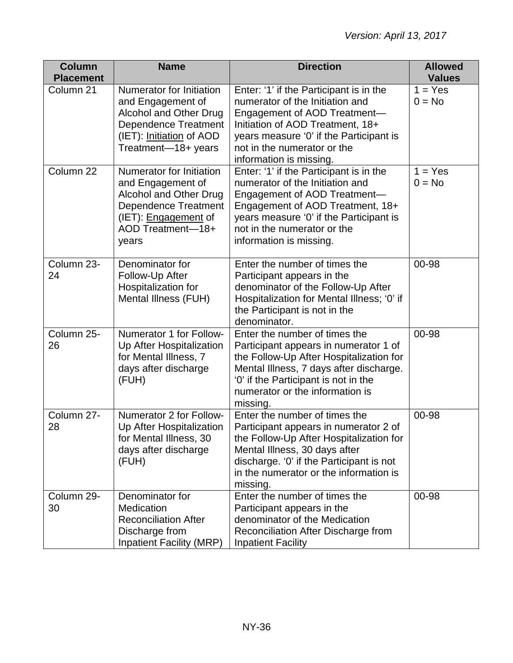| <b>Column</b><br><b>Placement</b> | <b>Name</b>                                                                                                                                                                | <b>Direction</b>                                                                                                                                                                                                                                     | <b>Allowed</b><br><b>Values</b> |
|-----------------------------------|----------------------------------------------------------------------------------------------------------------------------------------------------------------------------|------------------------------------------------------------------------------------------------------------------------------------------------------------------------------------------------------------------------------------------------------|---------------------------------|
| Column 21                         | Numerator for Initiation<br>and Engagement of<br><b>Alcohol and Other Drug</b><br><b>Dependence Treatment</b><br>(IET): Initiation of AOD<br>Treatment-18+ years           | Enter: '1' if the Participant is in the<br>numerator of the Initiation and<br>Engagement of AOD Treatment-<br>Initiation of AOD Treatment, 18+<br>years measure '0' if the Participant is<br>not in the numerator or the<br>information is missing.  | $1 = Yes$<br>$0 = No$           |
| Column 22                         | Numerator for Initiation<br>and Engagement of<br><b>Alcohol and Other Drug</b><br><b>Dependence Treatment</b><br>(IET): <b>Engagement</b> of<br>AOD Treatment-18+<br>years | Enter: '1' if the Participant is in the<br>numerator of the Initiation and<br>Engagement of AOD Treatment-<br>Engagement of AOD Treatment, 18+<br>years measure '0' if the Participant is<br>not in the numerator or the<br>information is missing.  | $1 = Yes$<br>$0 = No$           |
| Column 23-<br>24                  | Denominator for<br>Follow-Up After<br>Hospitalization for<br>Mental Illness (FUH)                                                                                          | Enter the number of times the<br>Participant appears in the<br>denominator of the Follow-Up After<br>Hospitalization for Mental Illness; '0' if<br>the Participant is not in the<br>denominator.                                                     | 00-98                           |
| Column 25-<br>26                  | Numerator 1 for Follow-<br>Up After Hospitalization<br>for Mental Illness, 7<br>days after discharge<br>(FUH)                                                              | Enter the number of times the<br>Participant appears in numerator 1 of<br>the Follow-Up After Hospitalization for<br>Mental Illness, 7 days after discharge.<br>'0' if the Participant is not in the<br>numerator or the information is<br>missing.  | 00-98                           |
| Column 27-<br>28                  | Numerator 2 for Follow-<br>Up After Hospitalization<br>for Mental Illness, 30<br>days after discharge<br>(FUH)                                                             | Enter the number of times the<br>Participant appears in numerator 2 of<br>the Follow-Up After Hospitalization for<br>Mental Illness, 30 days after<br>discharge. '0' if the Participant is not<br>in the numerator or the information is<br>missing. | 00-98                           |
| Column 29-<br>30                  | Denominator for<br>Medication<br><b>Reconciliation After</b><br>Discharge from<br><b>Inpatient Facility (MRP)</b>                                                          | Enter the number of times the<br>Participant appears in the<br>denominator of the Medication<br>Reconciliation After Discharge from<br><b>Inpatient Facility</b>                                                                                     | 00-98                           |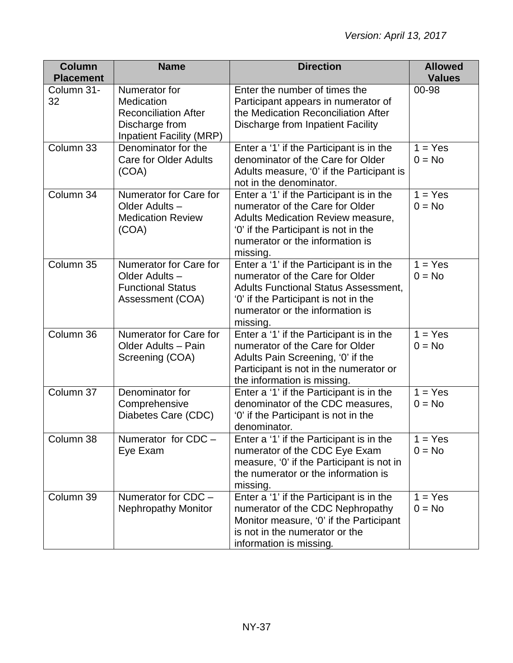| <b>Column</b>                  | <b>Name</b>                                                                                    | <b>Direction</b>                                                                                                                                                                                                  | <b>Allowed</b>         |
|--------------------------------|------------------------------------------------------------------------------------------------|-------------------------------------------------------------------------------------------------------------------------------------------------------------------------------------------------------------------|------------------------|
| <b>Placement</b><br>Column 31- | Numerator for                                                                                  | Enter the number of times the                                                                                                                                                                                     | <b>Values</b><br>00-98 |
| 32                             | Medication<br><b>Reconciliation After</b><br>Discharge from<br><b>Inpatient Facility (MRP)</b> | Participant appears in numerator of<br>the Medication Reconciliation After<br>Discharge from Inpatient Facility                                                                                                   |                        |
| Column 33                      | Denominator for the<br><b>Care for Older Adults</b><br>(COA)                                   | Enter a '1' if the Participant is in the<br>denominator of the Care for Older<br>Adults measure, '0' if the Participant is<br>not in the denominator.                                                             | $1 = Yes$<br>$0 = No$  |
| Column 34                      | Numerator for Care for<br>Older Adults-<br><b>Medication Review</b><br>(COA)                   | Enter a '1' if the Participant is in the<br>numerator of the Care for Older<br>Adults Medication Review measure,<br>'0' if the Participant is not in the<br>numerator or the information is<br>missing.           | $1 = Yes$<br>$0 = No$  |
| Column 35                      | Numerator for Care for<br>Older Adults-<br><b>Functional Status</b><br>Assessment (COA)        | Enter a '1' if the Participant is in the<br>numerator of the Care for Older<br><b>Adults Functional Status Assessment,</b><br>'0' if the Participant is not in the<br>numerator or the information is<br>missing. | $1 = Yes$<br>$0 = No$  |
| Column 36                      | Numerator for Care for<br>Older Adults - Pain<br>Screening (COA)                               | Enter a '1' if the Participant is in the<br>numerator of the Care for Older<br>Adults Pain Screening, '0' if the<br>Participant is not in the numerator or<br>the information is missing.                         | $1 = Yes$<br>$0 = No$  |
| Column 37                      | Denominator for<br>Comprehensive<br>Diabetes Care (CDC)                                        | Enter a '1' if the Participant is in the<br>denominator of the CDC measures,<br>'0' if the Participant is not in the<br>denominator.                                                                              | $1 = Yes$<br>$0 = No$  |
| Column 38                      | Numerator for CDC -<br>Eye Exam                                                                | Enter a '1' if the Participant is in the<br>numerator of the CDC Eye Exam<br>measure, '0' if the Participant is not in<br>the numerator or the information is<br>missing.                                         | $1 = Yes$<br>$0 = No$  |
| Column 39                      | Numerator for CDC -<br><b>Nephropathy Monitor</b>                                              | Enter a '1' if the Participant is in the<br>numerator of the CDC Nephropathy<br>Monitor measure, '0' if the Participant<br>is not in the numerator or the<br>information is missing.                              | $1 = Yes$<br>$0 = No$  |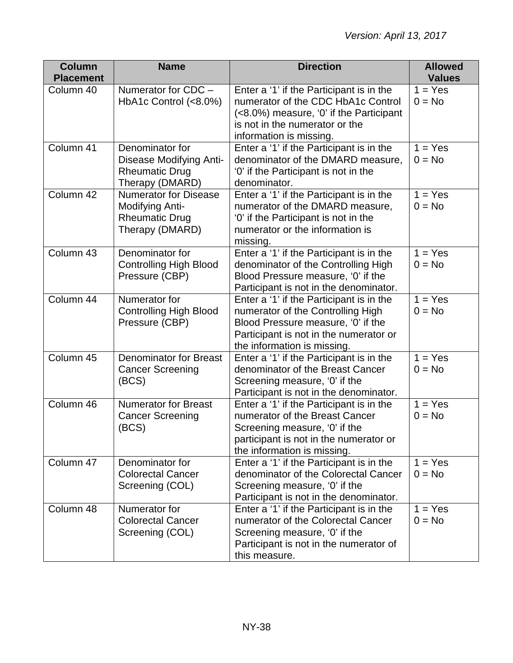| <b>Column</b>    | <b>Name</b>                                                                                 | <b>Direction</b>                                                                                                                                                                             | <b>Allowed</b>        |
|------------------|---------------------------------------------------------------------------------------------|----------------------------------------------------------------------------------------------------------------------------------------------------------------------------------------------|-----------------------|
| <b>Placement</b> |                                                                                             |                                                                                                                                                                                              | <b>Values</b>         |
| Column 40        | Numerator for CDC -<br>HbA1c Control (<8.0%)                                                | Enter a '1' if the Participant is in the<br>numerator of the CDC HbA1c Control<br>(<8.0%) measure, '0' if the Participant<br>is not in the numerator or the<br>information is missing.       | $1 = Yes$<br>$0 = No$ |
| Column 41        | Denominator for<br>Disease Modifying Anti-<br><b>Rheumatic Drug</b><br>Therapy (DMARD)      | Enter a '1' if the Participant is in the<br>denominator of the DMARD measure,<br>'0' if the Participant is not in the<br>denominator.                                                        | $1 = Yes$<br>$0 = No$ |
| Column 42        | <b>Numerator for Disease</b><br>Modifying Anti-<br><b>Rheumatic Drug</b><br>Therapy (DMARD) | Enter a '1' if the Participant is in the<br>numerator of the DMARD measure,<br>'0' if the Participant is not in the<br>numerator or the information is<br>missing.                           | $1 = Yes$<br>$0 = No$ |
| Column 43        | Denominator for<br><b>Controlling High Blood</b><br>Pressure (CBP)                          | Enter a '1' if the Participant is in the<br>denominator of the Controlling High<br>Blood Pressure measure, '0' if the<br>Participant is not in the denominator.                              | $1 = Yes$<br>$0 = No$ |
| Column 44        | Numerator for<br><b>Controlling High Blood</b><br>Pressure (CBP)                            | Enter a '1' if the Participant is in the<br>numerator of the Controlling High<br>Blood Pressure measure, '0' if the<br>Participant is not in the numerator or<br>the information is missing. | $1 = Yes$<br>$0 = No$ |
| Column 45        | <b>Denominator for Breast</b><br><b>Cancer Screening</b><br>(BCS)                           | Enter a '1' if the Participant is in the<br>denominator of the Breast Cancer<br>Screening measure, '0' if the<br>Participant is not in the denominator.                                      | $1 = Yes$<br>$0 = No$ |
| Column 46        | <b>Numerator for Breast</b><br><b>Cancer Screening</b><br>(BCS)                             | Enter a '1' if the Participant is in the<br>numerator of the Breast Cancer<br>Screening measure, '0' if the<br>participant is not in the numerator or<br>the information is missing.         | $1 = Yes$<br>$0 = No$ |
| Column 47        | Denominator for<br><b>Colorectal Cancer</b><br>Screening (COL)                              | Enter a '1' if the Participant is in the<br>denominator of the Colorectal Cancer<br>Screening measure, '0' if the<br>Participant is not in the denominator.                                  | $1 = Yes$<br>$0 = No$ |
| Column 48        | Numerator for<br><b>Colorectal Cancer</b><br>Screening (COL)                                | Enter a '1' if the Participant is in the<br>numerator of the Colorectal Cancer<br>Screening measure, '0' if the<br>Participant is not in the numerator of<br>this measure.                   | $1 = Yes$<br>$0 = No$ |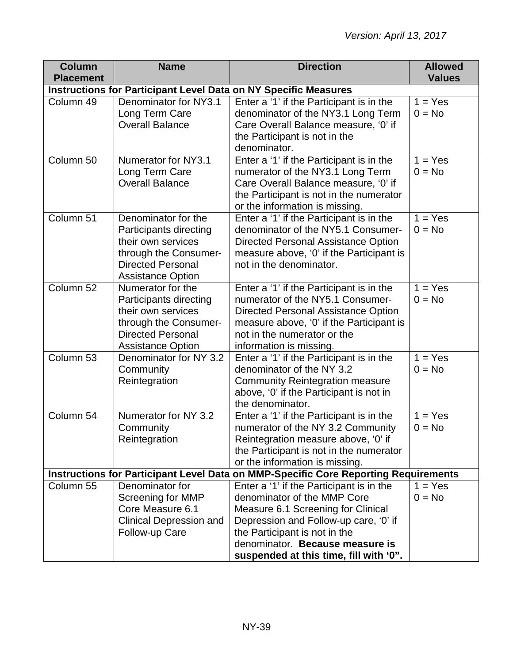| <b>Column</b><br><b>Placement</b>                                      | <b>Name</b>                                                                                                                                          | <b>Direction</b>                                                                                                                                                                                                                                                     | <b>Allowed</b><br><b>Values</b>  |  |  |
|------------------------------------------------------------------------|------------------------------------------------------------------------------------------------------------------------------------------------------|----------------------------------------------------------------------------------------------------------------------------------------------------------------------------------------------------------------------------------------------------------------------|----------------------------------|--|--|
| <b>Instructions for Participant Level Data on NY Specific Measures</b> |                                                                                                                                                      |                                                                                                                                                                                                                                                                      |                                  |  |  |
| Column 49                                                              | Denominator for NY3.1<br>Long Term Care<br><b>Overall Balance</b>                                                                                    | Enter a '1' if the Participant is in the<br>denominator of the NY3.1 Long Term<br>Care Overall Balance measure, '0' if<br>the Participant is not in the<br>denominator.                                                                                              | $1 = Yes$<br>$0 = No$            |  |  |
| Column 50                                                              | Numerator for NY3.1<br>Long Term Care<br><b>Overall Balance</b>                                                                                      | Enter a '1' if the Participant is in the<br>numerator of the NY3.1 Long Term<br>Care Overall Balance measure, '0' if<br>the Participant is not in the numerator<br>or the information is missing.                                                                    | $1 = Yes$<br>$0 = No$            |  |  |
| Column 51                                                              | Denominator for the<br>Participants directing<br>their own services<br>through the Consumer-<br><b>Directed Personal</b><br><b>Assistance Option</b> | Enter a '1' if the Participant is in the<br>denominator of the NY5.1 Consumer-<br><b>Directed Personal Assistance Option</b><br>measure above, '0' if the Participant is<br>not in the denominator.                                                                  | $\overline{1}$ = Yes<br>$0 = No$ |  |  |
| Column 52                                                              | Numerator for the<br>Participants directing<br>their own services<br>through the Consumer-<br><b>Directed Personal</b><br><b>Assistance Option</b>   | Enter a '1' if the Participant is in the<br>numerator of the NY5.1 Consumer-<br>Directed Personal Assistance Option<br>measure above, '0' if the Participant is<br>not in the numerator or the<br>information is missing.                                            | $1 = Yes$<br>$0 = No$            |  |  |
| Column 53                                                              | Denominator for NY 3.2<br>Community<br>Reintegration                                                                                                 | Enter a '1' if the Participant is in the<br>denominator of the NY 3.2<br><b>Community Reintegration measure</b><br>above, '0' if the Participant is not in<br>the denominator.                                                                                       | $1 = Yes$<br>$0 = No$            |  |  |
| Column 54                                                              | Numerator for NY 3.2<br>Community<br>Reintegration                                                                                                   | Enter a '1' if the Participant is in the<br>numerator of the NY 3.2 Community<br>Reintegration measure above, '0' if<br>the Participant is not in the numerator<br>or the information is missing.                                                                    | $\overline{1}$ = Yes<br>$0 = No$ |  |  |
|                                                                        |                                                                                                                                                      | Instructions for Participant Level Data on MMP-Specific Core Reporting Requirements                                                                                                                                                                                  |                                  |  |  |
| Column 55                                                              | Denominator for<br><b>Screening for MMP</b><br>Core Measure 6.1<br><b>Clinical Depression and</b><br>Follow-up Care                                  | Enter a '1' if the Participant is in the<br>denominator of the MMP Core<br>Measure 6.1 Screening for Clinical<br>Depression and Follow-up care, '0' if<br>the Participant is not in the<br>denominator. Because measure is<br>suspended at this time, fill with '0". | $1 = Yes$<br>$0 = No$            |  |  |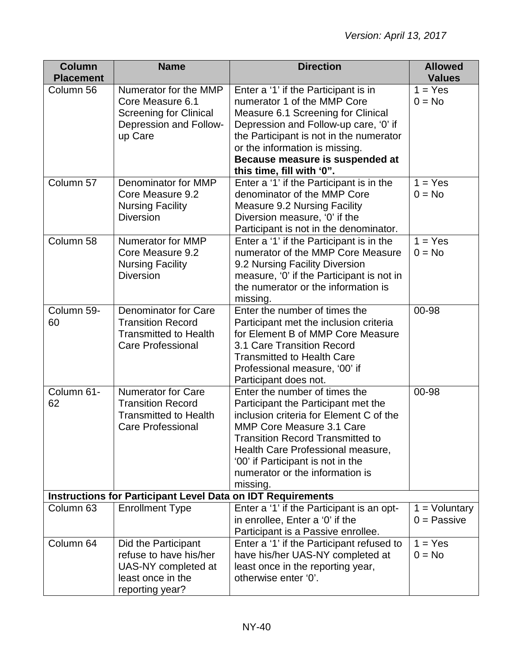| <b>Column</b>        | <b>Name</b>                                                        | <b>Direction</b>                                                        | <b>Allowed</b>  |
|----------------------|--------------------------------------------------------------------|-------------------------------------------------------------------------|-----------------|
| <b>Placement</b>     |                                                                    |                                                                         | <b>Values</b>   |
| Column 56            | Numerator for the MMP                                              | Enter a '1' if the Participant is in                                    | $1 = Yes$       |
|                      | Core Measure 6.1                                                   | numerator 1 of the MMP Core                                             | $0 = No$        |
|                      | <b>Screening for Clinical</b>                                      | Measure 6.1 Screening for Clinical                                      |                 |
|                      | Depression and Follow-                                             | Depression and Follow-up care, '0' if                                   |                 |
|                      | up Care                                                            | the Participant is not in the numerator                                 |                 |
|                      |                                                                    | or the information is missing.                                          |                 |
|                      |                                                                    | Because measure is suspended at                                         |                 |
| Column 57            | Denominator for MMP                                                | this time, fill with '0".<br>Enter a '1' if the Participant is in the   | $1 = Yes$       |
|                      | Core Measure 9.2                                                   | denominator of the MMP Core                                             | $0 = No$        |
|                      |                                                                    |                                                                         |                 |
|                      | <b>Nursing Facility</b><br><b>Diversion</b>                        | <b>Measure 9.2 Nursing Facility</b>                                     |                 |
|                      |                                                                    | Diversion measure, '0' if the<br>Participant is not in the denominator. |                 |
| Column 58            | <b>Numerator for MMP</b>                                           | Enter a '1' if the Participant is in the                                | $1 = Yes$       |
|                      | Core Measure 9.2                                                   | numerator of the MMP Core Measure                                       | $0 = No$        |
|                      | <b>Nursing Facility</b>                                            | 9.2 Nursing Facility Diversion                                          |                 |
|                      | <b>Diversion</b>                                                   | measure, '0' if the Participant is not in                               |                 |
|                      |                                                                    | the numerator or the information is                                     |                 |
|                      |                                                                    | missing.                                                                |                 |
| Column 59-           | <b>Denominator for Care</b>                                        | Enter the number of times the                                           | 00-98           |
| 60                   | <b>Transition Record</b>                                           | Participant met the inclusion criteria                                  |                 |
|                      | <b>Transmitted to Health</b>                                       | for Element B of MMP Core Measure                                       |                 |
|                      | <b>Care Professional</b>                                           | 3.1 Care Transition Record                                              |                 |
|                      |                                                                    | <b>Transmitted to Health Care</b>                                       |                 |
|                      |                                                                    | Professional measure, '00' if                                           |                 |
|                      |                                                                    | Participant does not.                                                   |                 |
| Column 61-           | <b>Numerator for Care</b>                                          | Enter the number of times the                                           | 00-98           |
| 62                   | <b>Transition Record</b>                                           | Participant the Participant met the                                     |                 |
|                      | <b>Transmitted to Health</b>                                       | inclusion criteria for Element C of the                                 |                 |
|                      | <b>Care Professional</b>                                           | <b>MMP Core Measure 3.1 Care</b>                                        |                 |
|                      |                                                                    | <b>Transition Record Transmitted to</b>                                 |                 |
|                      |                                                                    | Health Care Professional measure,                                       |                 |
|                      |                                                                    | '00' if Participant is not in the                                       |                 |
|                      |                                                                    | numerator or the information is                                         |                 |
|                      |                                                                    | missing.                                                                |                 |
|                      | <b>Instructions for Participant Level Data on IDT Requirements</b> |                                                                         |                 |
| Column <sub>63</sub> | <b>Enrollment Type</b>                                             | Enter a '1' if the Participant is an opt-                               | $1 =$ Voluntary |
|                      |                                                                    | in enrollee, Enter a '0' if the                                         | $0 =$ Passive   |
|                      |                                                                    | Participant is a Passive enrollee.                                      |                 |
| Column 64            | Did the Participant                                                | Enter a '1' if the Participant refused to                               | $1 = Yes$       |
|                      | refuse to have his/her                                             | have his/her UAS-NY completed at                                        | $0 = No$        |
|                      | UAS-NY completed at                                                | least once in the reporting year,                                       |                 |
|                      | least once in the                                                  | otherwise enter '0'.                                                    |                 |
|                      | reporting year?                                                    |                                                                         |                 |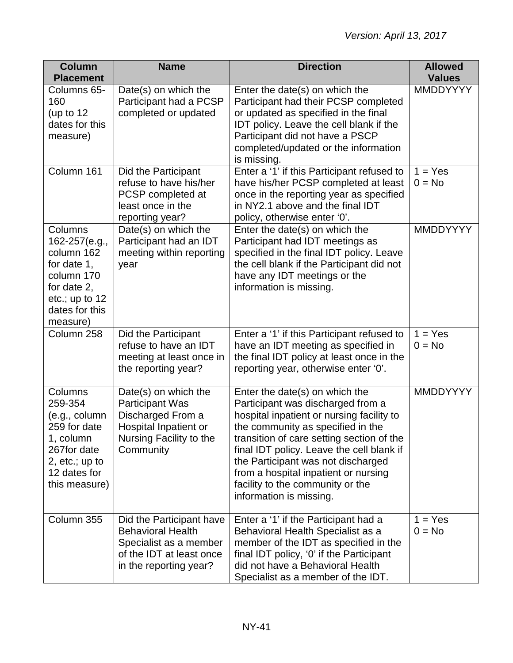| <b>Column</b><br><b>Placement</b>                                                                                                    | <b>Name</b>                                                                                                                          | <b>Direction</b>                                                                                                                                                                                                                                                                                                                                                                             | <b>Allowed</b><br><b>Values</b> |
|--------------------------------------------------------------------------------------------------------------------------------------|--------------------------------------------------------------------------------------------------------------------------------------|----------------------------------------------------------------------------------------------------------------------------------------------------------------------------------------------------------------------------------------------------------------------------------------------------------------------------------------------------------------------------------------------|---------------------------------|
| Columns 65-<br>160<br>(up to $12$<br>dates for this<br>measure)                                                                      | Date(s) on which the<br>Participant had a PCSP<br>completed or updated                                                               | Enter the date(s) on which the<br>Participant had their PCSP completed<br>or updated as specified in the final<br>IDT policy. Leave the cell blank if the<br>Participant did not have a PSCP<br>completed/updated or the information<br>is missing.                                                                                                                                          | <b>MMDDYYYY</b>                 |
| Column 161                                                                                                                           | Did the Participant<br>refuse to have his/her<br>PCSP completed at<br>least once in the<br>reporting year?                           | Enter a '1' if this Participant refused to<br>have his/her PCSP completed at least<br>once in the reporting year as specified<br>in NY2.1 above and the final IDT<br>policy, otherwise enter '0'.                                                                                                                                                                                            | $1 = Yes$<br>$0 = No$           |
| Columns<br>162-257(e.g.,<br>column 162<br>for date 1,<br>column 170<br>for date 2,<br>etc.; up to $12$<br>dates for this<br>measure) | Date(s) on which the<br>Participant had an IDT<br>meeting within reporting<br>year                                                   | Enter the date(s) on which the<br>Participant had IDT meetings as<br>specified in the final IDT policy. Leave<br>the cell blank if the Participant did not<br>have any IDT meetings or the<br>information is missing.                                                                                                                                                                        | <b>MMDDYYYY</b>                 |
| Column 258                                                                                                                           | Did the Participant<br>refuse to have an IDT<br>meeting at least once in<br>the reporting year?                                      | Enter a '1' if this Participant refused to<br>have an IDT meeting as specified in<br>the final IDT policy at least once in the<br>reporting year, otherwise enter '0'.                                                                                                                                                                                                                       | $1 = Yes$<br>$0 = No$           |
| Columns<br>259-354<br>(e.g., column<br>259 for date<br>1, column<br>267for date<br>2, $etc.; up to$<br>12 dates for<br>this measure) | Date(s) on which the<br><b>Participant Was</b><br>Discharged From a<br>Hospital Inpatient or<br>Nursing Facility to the<br>Community | Enter the date(s) on which the<br>Participant was discharged from a<br>hospital inpatient or nursing facility to<br>the community as specified in the<br>transition of care setting section of the<br>final IDT policy. Leave the cell blank if<br>the Participant was not discharged<br>from a hospital inpatient or nursing<br>facility to the community or the<br>information is missing. | <b>MMDDYYYY</b>                 |
| Column 355                                                                                                                           | Did the Participant have<br><b>Behavioral Health</b><br>Specialist as a member<br>of the IDT at least once<br>in the reporting year? | Enter a '1' if the Participant had a<br>Behavioral Health Specialist as a<br>member of the IDT as specified in the<br>final IDT policy, '0' if the Participant<br>did not have a Behavioral Health<br>Specialist as a member of the IDT.                                                                                                                                                     | $1 = Yes$<br>$0 = No$           |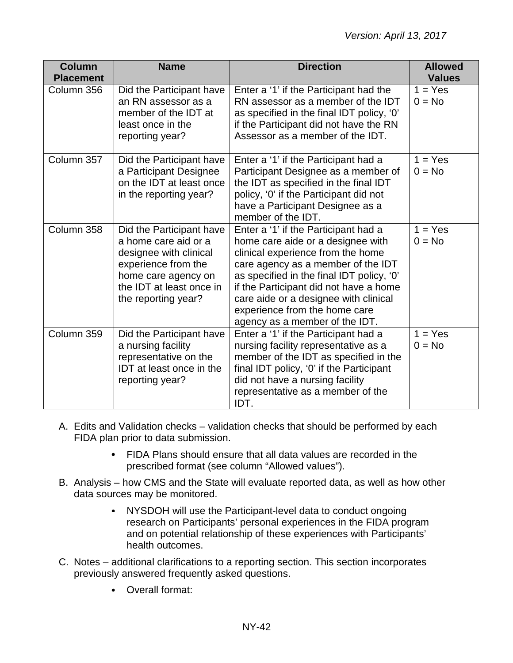| <b>Column</b><br><b>Placement</b> | <b>Name</b>                                                                                                                                                                 | <b>Direction</b>                                                                                                                                                                                                                                                                                                                                        | <b>Allowed</b><br><b>Values</b> |
|-----------------------------------|-----------------------------------------------------------------------------------------------------------------------------------------------------------------------------|---------------------------------------------------------------------------------------------------------------------------------------------------------------------------------------------------------------------------------------------------------------------------------------------------------------------------------------------------------|---------------------------------|
| Column 356                        | Did the Participant have<br>an RN assessor as a<br>member of the IDT at<br>least once in the<br>reporting year?                                                             | Enter a '1' if the Participant had the<br>RN assessor as a member of the IDT<br>as specified in the final IDT policy, '0'<br>if the Participant did not have the RN<br>Assessor as a member of the IDT.                                                                                                                                                 | $1 = Yes$<br>$0 = No$           |
| Column 357                        | Did the Participant have<br>a Participant Designee<br>on the IDT at least once<br>in the reporting year?                                                                    | Enter a '1' if the Participant had a<br>Participant Designee as a member of<br>the IDT as specified in the final IDT<br>policy, '0' if the Participant did not<br>have a Participant Designee as a<br>member of the IDT.                                                                                                                                | $1 = Yes$<br>$0 = No$           |
| Column 358                        | Did the Participant have<br>a home care aid or a<br>designee with clinical<br>experience from the<br>home care agency on<br>the IDT at least once in<br>the reporting year? | Enter a '1' if the Participant had a<br>home care aide or a designee with<br>clinical experience from the home<br>care agency as a member of the IDT<br>as specified in the final IDT policy, '0'<br>if the Participant did not have a home<br>care aide or a designee with clinical<br>experience from the home care<br>agency as a member of the IDT. | $1 = Yes$<br>$0 = No$           |
| Column 359                        | Did the Participant have<br>a nursing facility<br>representative on the<br><b>IDT</b> at least once in the<br>reporting year?                                               | Enter a '1' if the Participant had a<br>nursing facility representative as a<br>member of the IDT as specified in the<br>final IDT policy, '0' if the Participant<br>did not have a nursing facility<br>representative as a member of the<br>IDT.                                                                                                       | $1 = Yes$<br>$0 = No$           |

- A. Edits and Validation checks validation checks that should be performed by each FIDA plan prior to data submission.
	- FIDA Plans should ensure that all data values are recorded in the prescribed format (see column "Allowed values").
- B. Analysis how CMS and the State will evaluate reported data, as well as how other data sources may be monitored.
	- NYSDOH will use the Participant-level data to conduct ongoing research on Participants' personal experiences in the FIDA program and on potential relationship of these experiences with Participants' health outcomes.
- C. Notes additional clarifications to a reporting section. This section incorporates previously answered frequently asked questions.
	- Overall format: